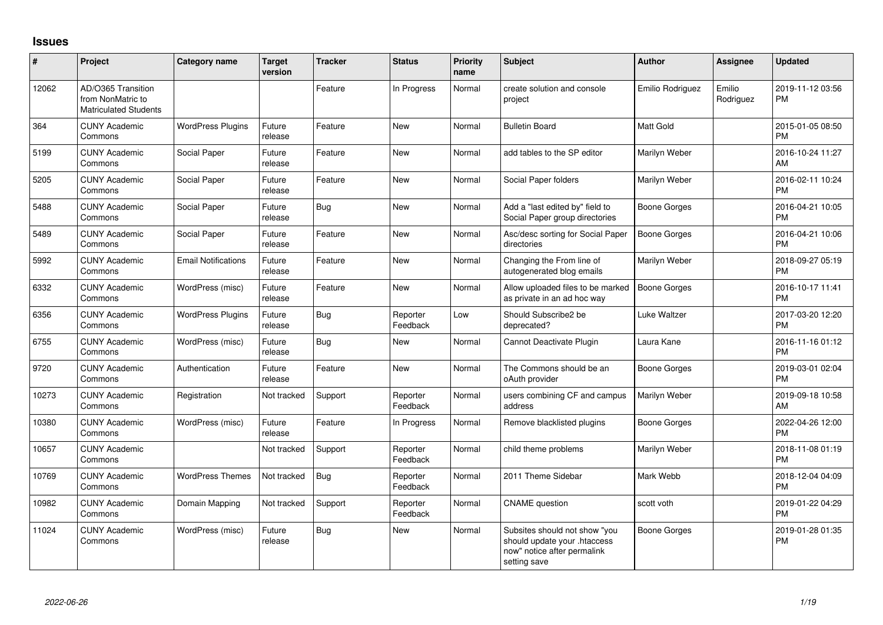## **Issues**

| #     | Project                                                                 | Category name              | <b>Target</b><br>version | <b>Tracker</b> | <b>Status</b>        | Priority<br>name | Subject                                                                                                      | <b>Author</b>           | <b>Assignee</b>     | <b>Updated</b>                |
|-------|-------------------------------------------------------------------------|----------------------------|--------------------------|----------------|----------------------|------------------|--------------------------------------------------------------------------------------------------------------|-------------------------|---------------------|-------------------------------|
| 12062 | AD/O365 Transition<br>from NonMatric to<br><b>Matriculated Students</b> |                            |                          | Feature        | In Progress          | Normal           | create solution and console<br>project                                                                       | <b>Emilio Rodriguez</b> | Emilio<br>Rodriguez | 2019-11-12 03:56<br><b>PM</b> |
| 364   | <b>CUNY Academic</b><br>Commons                                         | <b>WordPress Plugins</b>   | Future<br>release        | Feature        | <b>New</b>           | Normal           | <b>Bulletin Board</b>                                                                                        | <b>Matt Gold</b>        |                     | 2015-01-05 08:50<br><b>PM</b> |
| 5199  | <b>CUNY Academic</b><br>Commons                                         | Social Paper               | Future<br>release        | Feature        | <b>New</b>           | Normal           | add tables to the SP editor                                                                                  | Marilyn Weber           |                     | 2016-10-24 11:27<br>AM        |
| 5205  | <b>CUNY Academic</b><br>Commons                                         | Social Paper               | Future<br>release        | Feature        | <b>New</b>           | Normal           | Social Paper folders                                                                                         | Marilyn Weber           |                     | 2016-02-11 10:24<br><b>PM</b> |
| 5488  | <b>CUNY Academic</b><br>Commons                                         | Social Paper               | Future<br>release        | <b>Bug</b>     | <b>New</b>           | Normal           | Add a "last edited by" field to<br>Social Paper group directories                                            | Boone Gorges            |                     | 2016-04-21 10:05<br><b>PM</b> |
| 5489  | <b>CUNY Academic</b><br>Commons                                         | Social Paper               | Future<br>release        | Feature        | <b>New</b>           | Normal           | Asc/desc sorting for Social Paper<br>directories                                                             | <b>Boone Gorges</b>     |                     | 2016-04-21 10:06<br><b>PM</b> |
| 5992  | <b>CUNY Academic</b><br>Commons                                         | <b>Email Notifications</b> | Future<br>release        | Feature        | New                  | Normal           | Changing the From line of<br>autogenerated blog emails                                                       | Marilyn Weber           |                     | 2018-09-27 05:19<br><b>PM</b> |
| 6332  | <b>CUNY Academic</b><br>Commons                                         | WordPress (misc)           | Future<br>release        | Feature        | <b>New</b>           | Normal           | Allow uploaded files to be marked<br>as private in an ad hoc way                                             | <b>Boone Gorges</b>     |                     | 2016-10-17 11:41<br><b>PM</b> |
| 6356  | <b>CUNY Academic</b><br>Commons                                         | <b>WordPress Plugins</b>   | Future<br>release        | Bug            | Reporter<br>Feedback | Low              | Should Subscribe2 be<br>deprecated?                                                                          | Luke Waltzer            |                     | 2017-03-20 12:20<br><b>PM</b> |
| 6755  | <b>CUNY Academic</b><br>Commons                                         | WordPress (misc)           | Future<br>release        | <b>Bug</b>     | New                  | Normal           | Cannot Deactivate Plugin                                                                                     | Laura Kane              |                     | 2016-11-16 01:12<br><b>PM</b> |
| 9720  | <b>CUNY Academic</b><br>Commons                                         | Authentication             | Future<br>release        | Feature        | <b>New</b>           | Normal           | The Commons should be an<br>oAuth provider                                                                   | <b>Boone Gorges</b>     |                     | 2019-03-01 02:04<br><b>PM</b> |
| 10273 | <b>CUNY Academic</b><br>Commons                                         | Registration               | Not tracked              | Support        | Reporter<br>Feedback | Normal           | users combining CF and campus<br>address                                                                     | Marilyn Weber           |                     | 2019-09-18 10:58<br>AM        |
| 10380 | <b>CUNY Academic</b><br>Commons                                         | WordPress (misc)           | Future<br>release        | Feature        | In Progress          | Normal           | Remove blacklisted plugins                                                                                   | Boone Gorges            |                     | 2022-04-26 12:00<br><b>PM</b> |
| 10657 | <b>CUNY Academic</b><br>Commons                                         |                            | Not tracked              | Support        | Reporter<br>Feedback | Normal           | child theme problems                                                                                         | Marilyn Weber           |                     | 2018-11-08 01:19<br><b>PM</b> |
| 10769 | <b>CUNY Academic</b><br>Commons                                         | <b>WordPress Themes</b>    | Not tracked              | Bug            | Reporter<br>Feedback | Normal           | 2011 Theme Sidebar                                                                                           | Mark Webb               |                     | 2018-12-04 04:09<br><b>PM</b> |
| 10982 | <b>CUNY Academic</b><br>Commons                                         | Domain Mapping             | Not tracked              | Support        | Reporter<br>Feedback | Normal           | <b>CNAME</b> question                                                                                        | scott voth              |                     | 2019-01-22 04:29<br><b>PM</b> |
| 11024 | <b>CUNY Academic</b><br>Commons                                         | WordPress (misc)           | Future<br>release        | <b>Bug</b>     | New                  | Normal           | Subsites should not show "you<br>should update your .htaccess<br>now" notice after permalink<br>setting save | <b>Boone Gorges</b>     |                     | 2019-01-28 01:35<br><b>PM</b> |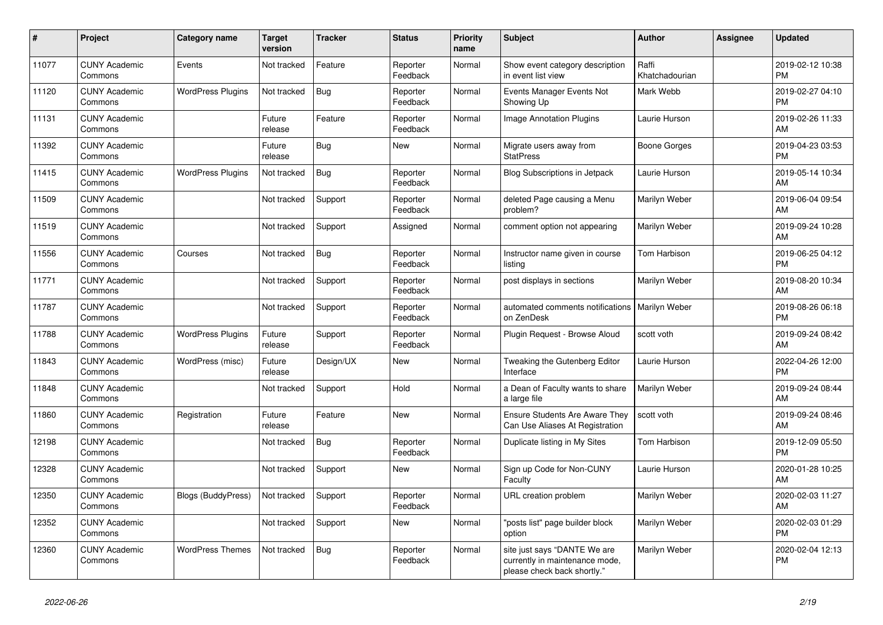| #     | <b>Project</b>                  | <b>Category name</b>     | <b>Target</b><br>version | Tracker    | <b>Status</b>        | <b>Priority</b><br>name | <b>Subject</b>                                                                                | <b>Author</b>           | Assignee | <b>Updated</b>                |
|-------|---------------------------------|--------------------------|--------------------------|------------|----------------------|-------------------------|-----------------------------------------------------------------------------------------------|-------------------------|----------|-------------------------------|
| 11077 | <b>CUNY Academic</b><br>Commons | Events                   | Not tracked              | Feature    | Reporter<br>Feedback | Normal                  | Show event category description<br>in event list view                                         | Raffi<br>Khatchadourian |          | 2019-02-12 10:38<br><b>PM</b> |
| 11120 | <b>CUNY Academic</b><br>Commons | <b>WordPress Plugins</b> | Not tracked              | Bug        | Reporter<br>Feedback | Normal                  | Events Manager Events Not<br>Showing Up                                                       | Mark Webb               |          | 2019-02-27 04:10<br><b>PM</b> |
| 11131 | <b>CUNY Academic</b><br>Commons |                          | Future<br>release        | Feature    | Reporter<br>Feedback | Normal                  | <b>Image Annotation Plugins</b>                                                               | Laurie Hurson           |          | 2019-02-26 11:33<br>AM        |
| 11392 | <b>CUNY Academic</b><br>Commons |                          | Future<br>release        | Bug        | <b>New</b>           | Normal                  | Migrate users away from<br><b>StatPress</b>                                                   | <b>Boone Gorges</b>     |          | 2019-04-23 03:53<br><b>PM</b> |
| 11415 | <b>CUNY Academic</b><br>Commons | <b>WordPress Plugins</b> | Not tracked              | <b>Bug</b> | Reporter<br>Feedback | Normal                  | <b>Blog Subscriptions in Jetpack</b>                                                          | Laurie Hurson           |          | 2019-05-14 10:34<br>AM        |
| 11509 | <b>CUNY Academic</b><br>Commons |                          | Not tracked              | Support    | Reporter<br>Feedback | Normal                  | deleted Page causing a Menu<br>problem?                                                       | Marilyn Weber           |          | 2019-06-04 09:54<br>AM        |
| 11519 | <b>CUNY Academic</b><br>Commons |                          | Not tracked              | Support    | Assigned             | Normal                  | comment option not appearing                                                                  | Marilyn Weber           |          | 2019-09-24 10:28<br>AM        |
| 11556 | <b>CUNY Academic</b><br>Commons | Courses                  | Not tracked              | Bug        | Reporter<br>Feedback | Normal                  | Instructor name given in course<br>listing                                                    | Tom Harbison            |          | 2019-06-25 04:12<br><b>PM</b> |
| 11771 | <b>CUNY Academic</b><br>Commons |                          | Not tracked              | Support    | Reporter<br>Feedback | Normal                  | post displays in sections                                                                     | Marilyn Weber           |          | 2019-08-20 10:34<br>AM        |
| 11787 | <b>CUNY Academic</b><br>Commons |                          | Not tracked              | Support    | Reporter<br>Feedback | Normal                  | automated comments notifications   Marilyn Weber<br>on ZenDesk                                |                         |          | 2019-08-26 06:18<br><b>PM</b> |
| 11788 | <b>CUNY Academic</b><br>Commons | <b>WordPress Plugins</b> | Future<br>release        | Support    | Reporter<br>Feedback | Normal                  | Plugin Request - Browse Aloud                                                                 | scott voth              |          | 2019-09-24 08:42<br>AM        |
| 11843 | <b>CUNY Academic</b><br>Commons | WordPress (misc)         | Future<br>release        | Design/UX  | <b>New</b>           | Normal                  | Tweaking the Gutenberg Editor<br>Interface                                                    | Laurie Hurson           |          | 2022-04-26 12:00<br><b>PM</b> |
| 11848 | <b>CUNY Academic</b><br>Commons |                          | Not tracked              | Support    | Hold                 | Normal                  | a Dean of Faculty wants to share<br>a large file                                              | Marilyn Weber           |          | 2019-09-24 08:44<br>AM        |
| 11860 | <b>CUNY Academic</b><br>Commons | Registration             | Future<br>release        | Feature    | <b>New</b>           | Normal                  | Ensure Students Are Aware They<br>Can Use Aliases At Registration                             | scott voth              |          | 2019-09-24 08:46<br>AM        |
| 12198 | <b>CUNY Academic</b><br>Commons |                          | Not tracked              | Bug        | Reporter<br>Feedback | Normal                  | Duplicate listing in My Sites                                                                 | Tom Harbison            |          | 2019-12-09 05:50<br><b>PM</b> |
| 12328 | <b>CUNY Academic</b><br>Commons |                          | Not tracked              | Support    | <b>New</b>           | Normal                  | Sign up Code for Non-CUNY<br>Faculty                                                          | Laurie Hurson           |          | 2020-01-28 10:25<br>AM        |
| 12350 | <b>CUNY Academic</b><br>Commons | Blogs (BuddyPress)       | Not tracked              | Support    | Reporter<br>Feedback | Normal                  | URL creation problem                                                                          | Marilyn Weber           |          | 2020-02-03 11:27<br>AM        |
| 12352 | <b>CUNY Academic</b><br>Commons |                          | Not tracked              | Support    | <b>New</b>           | Normal                  | "posts list" page builder block<br>option                                                     | Marilyn Weber           |          | 2020-02-03 01:29<br>PM        |
| 12360 | <b>CUNY Academic</b><br>Commons | <b>WordPress Themes</b>  | Not tracked              | <b>Bug</b> | Reporter<br>Feedback | Normal                  | site just says "DANTE We are<br>currently in maintenance mode,<br>please check back shortly." | Marilyn Weber           |          | 2020-02-04 12:13<br><b>PM</b> |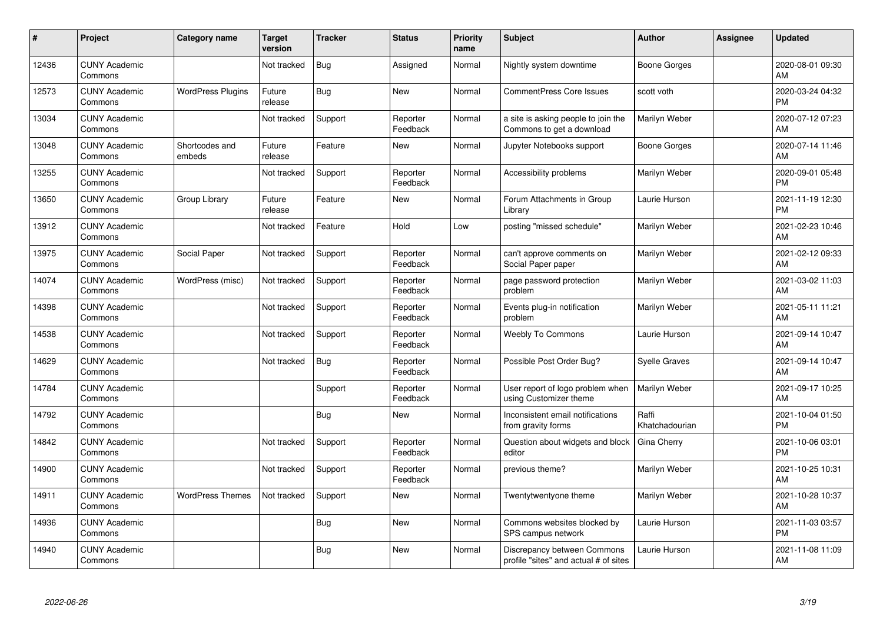| #     | Project                         | <b>Category name</b>     | <b>Target</b><br>version | <b>Tracker</b> | <b>Status</b>        | <b>Priority</b><br>name | <b>Subject</b>                                                       | Author                  | <b>Assignee</b> | <b>Updated</b>                |
|-------|---------------------------------|--------------------------|--------------------------|----------------|----------------------|-------------------------|----------------------------------------------------------------------|-------------------------|-----------------|-------------------------------|
| 12436 | <b>CUNY Academic</b><br>Commons |                          | Not tracked              | <b>Bug</b>     | Assigned             | Normal                  | Nightly system downtime                                              | Boone Gorges            |                 | 2020-08-01 09:30<br>AM        |
| 12573 | <b>CUNY Academic</b><br>Commons | <b>WordPress Plugins</b> | Future<br>release        | Bug            | <b>New</b>           | Normal                  | <b>CommentPress Core Issues</b>                                      | scott voth              |                 | 2020-03-24 04:32<br><b>PM</b> |
| 13034 | <b>CUNY Academic</b><br>Commons |                          | Not tracked              | Support        | Reporter<br>Feedback | Normal                  | a site is asking people to join the<br>Commons to get a download     | Marilyn Weber           |                 | 2020-07-12 07:23<br>AM        |
| 13048 | <b>CUNY Academic</b><br>Commons | Shortcodes and<br>embeds | Future<br>release        | Feature        | New                  | Normal                  | Jupyter Notebooks support                                            | Boone Gorges            |                 | 2020-07-14 11:46<br>AM        |
| 13255 | <b>CUNY Academic</b><br>Commons |                          | Not tracked              | Support        | Reporter<br>Feedback | Normal                  | Accessibility problems                                               | Marilyn Weber           |                 | 2020-09-01 05:48<br><b>PM</b> |
| 13650 | <b>CUNY Academic</b><br>Commons | Group Library            | Future<br>release        | Feature        | <b>New</b>           | Normal                  | Forum Attachments in Group<br>Library                                | Laurie Hurson           |                 | 2021-11-19 12:30<br><b>PM</b> |
| 13912 | <b>CUNY Academic</b><br>Commons |                          | Not tracked              | Feature        | Hold                 | Low                     | posting "missed schedule"                                            | Marilyn Weber           |                 | 2021-02-23 10:46<br>AM        |
| 13975 | <b>CUNY Academic</b><br>Commons | Social Paper             | Not tracked              | Support        | Reporter<br>Feedback | Normal                  | can't approve comments on<br>Social Paper paper                      | Marilyn Weber           |                 | 2021-02-12 09:33<br>AM        |
| 14074 | <b>CUNY Academic</b><br>Commons | WordPress (misc)         | Not tracked              | Support        | Reporter<br>Feedback | Normal                  | page password protection<br>problem                                  | Marilyn Weber           |                 | 2021-03-02 11:03<br>AM        |
| 14398 | <b>CUNY Academic</b><br>Commons |                          | Not tracked              | Support        | Reporter<br>Feedback | Normal                  | Events plug-in notification<br>problem                               | Marilyn Weber           |                 | 2021-05-11 11:21<br>AM        |
| 14538 | <b>CUNY Academic</b><br>Commons |                          | Not tracked              | Support        | Reporter<br>Feedback | Normal                  | <b>Weebly To Commons</b>                                             | Laurie Hurson           |                 | 2021-09-14 10:47<br>AM        |
| 14629 | <b>CUNY Academic</b><br>Commons |                          | Not tracked              | <b>Bug</b>     | Reporter<br>Feedback | Normal                  | Possible Post Order Bug?                                             | Syelle Graves           |                 | 2021-09-14 10:47<br>AM        |
| 14784 | <b>CUNY Academic</b><br>Commons |                          |                          | Support        | Reporter<br>Feedback | Normal                  | User report of logo problem when<br>using Customizer theme           | Marilyn Weber           |                 | 2021-09-17 10:25<br>AM        |
| 14792 | <b>CUNY Academic</b><br>Commons |                          |                          | Bug            | <b>New</b>           | Normal                  | Inconsistent email notifications<br>from gravity forms               | Raffi<br>Khatchadourian |                 | 2021-10-04 01:50<br><b>PM</b> |
| 14842 | <b>CUNY Academic</b><br>Commons |                          | Not tracked              | Support        | Reporter<br>Feedback | Normal                  | Question about widgets and block<br>editor                           | Gina Cherry             |                 | 2021-10-06 03:01<br><b>PM</b> |
| 14900 | <b>CUNY Academic</b><br>Commons |                          | Not tracked              | Support        | Reporter<br>Feedback | Normal                  | previous theme?                                                      | Marilyn Weber           |                 | 2021-10-25 10:31<br>AM        |
| 14911 | <b>CUNY Academic</b><br>Commons | <b>WordPress Themes</b>  | Not tracked              | Support        | <b>New</b>           | Normal                  | Twentytwentyone theme                                                | Marilyn Weber           |                 | 2021-10-28 10:37<br>AM        |
| 14936 | <b>CUNY Academic</b><br>Commons |                          |                          | Bug            | <b>New</b>           | Normal                  | Commons websites blocked by<br>SPS campus network                    | Laurie Hurson           |                 | 2021-11-03 03:57<br><b>PM</b> |
| 14940 | <b>CUNY Academic</b><br>Commons |                          |                          | <b>Bug</b>     | <b>New</b>           | Normal                  | Discrepancy between Commons<br>profile "sites" and actual # of sites | Laurie Hurson           |                 | 2021-11-08 11:09<br>AM        |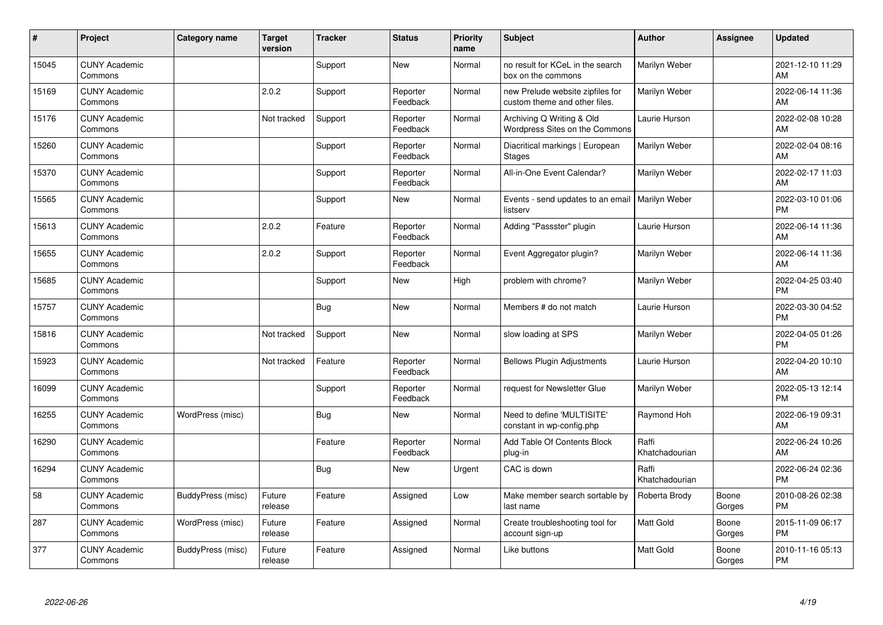| #     | Project                         | <b>Category name</b> | <b>Target</b><br>version | <b>Tracker</b> | <b>Status</b>        | <b>Priority</b><br>name | <b>Subject</b>                                                    | Author                  | <b>Assignee</b> | <b>Updated</b>                |
|-------|---------------------------------|----------------------|--------------------------|----------------|----------------------|-------------------------|-------------------------------------------------------------------|-------------------------|-----------------|-------------------------------|
| 15045 | <b>CUNY Academic</b><br>Commons |                      |                          | Support        | <b>New</b>           | Normal                  | no result for KCeL in the search<br>box on the commons            | Marilyn Weber           |                 | 2021-12-10 11:29<br>AM        |
| 15169 | <b>CUNY Academic</b><br>Commons |                      | 2.0.2                    | Support        | Reporter<br>Feedback | Normal                  | new Prelude website zipfiles for<br>custom theme and other files. | Marilyn Weber           |                 | 2022-06-14 11:36<br>AM        |
| 15176 | <b>CUNY Academic</b><br>Commons |                      | Not tracked              | Support        | Reporter<br>Feedback | Normal                  | Archiving Q Writing & Old<br>Wordpress Sites on the Commons       | Laurie Hurson           |                 | 2022-02-08 10:28<br>AM        |
| 15260 | <b>CUNY Academic</b><br>Commons |                      |                          | Support        | Reporter<br>Feedback | Normal                  | Diacritical markings   European<br><b>Stages</b>                  | Marilyn Weber           |                 | 2022-02-04 08:16<br>AM        |
| 15370 | <b>CUNY Academic</b><br>Commons |                      |                          | Support        | Reporter<br>Feedback | Normal                  | All-in-One Event Calendar?                                        | Marilyn Weber           |                 | 2022-02-17 11:03<br>AM        |
| 15565 | <b>CUNY Academic</b><br>Commons |                      |                          | Support        | <b>New</b>           | Normal                  | Events - send updates to an email   Marilyn Weber<br>listserv     |                         |                 | 2022-03-10 01:06<br>PM        |
| 15613 | <b>CUNY Academic</b><br>Commons |                      | 2.0.2                    | Feature        | Reporter<br>Feedback | Normal                  | Adding "Passster" plugin                                          | Laurie Hurson           |                 | 2022-06-14 11:36<br>AM        |
| 15655 | <b>CUNY Academic</b><br>Commons |                      | 2.0.2                    | Support        | Reporter<br>Feedback | Normal                  | Event Aggregator plugin?                                          | Marilyn Weber           |                 | 2022-06-14 11:36<br>AM        |
| 15685 | <b>CUNY Academic</b><br>Commons |                      |                          | Support        | New                  | High                    | problem with chrome?                                              | Marilyn Weber           |                 | 2022-04-25 03:40<br><b>PM</b> |
| 15757 | <b>CUNY Academic</b><br>Commons |                      |                          | <b>Bug</b>     | New                  | Normal                  | Members # do not match                                            | Laurie Hurson           |                 | 2022-03-30 04:52<br><b>PM</b> |
| 15816 | <b>CUNY Academic</b><br>Commons |                      | Not tracked              | Support        | New                  | Normal                  | slow loading at SPS                                               | Marilyn Weber           |                 | 2022-04-05 01:26<br>PM        |
| 15923 | <b>CUNY Academic</b><br>Commons |                      | Not tracked              | Feature        | Reporter<br>Feedback | Normal                  | <b>Bellows Plugin Adjustments</b>                                 | Laurie Hurson           |                 | 2022-04-20 10:10<br>AM        |
| 16099 | <b>CUNY Academic</b><br>Commons |                      |                          | Support        | Reporter<br>Feedback | Normal                  | request for Newsletter Glue                                       | Marilyn Weber           |                 | 2022-05-13 12:14<br><b>PM</b> |
| 16255 | <b>CUNY Academic</b><br>Commons | WordPress (misc)     |                          | <b>Bug</b>     | <b>New</b>           | Normal                  | Need to define 'MULTISITE'<br>constant in wp-config.php           | Raymond Hoh             |                 | 2022-06-19 09:31<br>AM        |
| 16290 | <b>CUNY Academic</b><br>Commons |                      |                          | Feature        | Reporter<br>Feedback | Normal                  | Add Table Of Contents Block<br>plug-in                            | Raffi<br>Khatchadourian |                 | 2022-06-24 10:26<br>AM        |
| 16294 | <b>CUNY Academic</b><br>Commons |                      |                          | <b>Bug</b>     | New                  | Urgent                  | CAC is down                                                       | Raffi<br>Khatchadourian |                 | 2022-06-24 02:36<br><b>PM</b> |
| 58    | <b>CUNY Academic</b><br>Commons | BuddyPress (misc)    | Future<br>release        | Feature        | Assigned             | Low                     | Make member search sortable by<br>last name                       | Roberta Brody           | Boone<br>Gorges | 2010-08-26 02:38<br><b>PM</b> |
| 287   | <b>CUNY Academic</b><br>Commons | WordPress (misc)     | Future<br>release        | Feature        | Assigned             | Normal                  | Create troubleshooting tool for<br>account sign-up                | <b>Matt Gold</b>        | Boone<br>Gorges | 2015-11-09 06:17<br><b>PM</b> |
| 377   | <b>CUNY Academic</b><br>Commons | BuddyPress (misc)    | Future<br>release        | Feature        | Assigned             | Normal                  | Like buttons                                                      | <b>Matt Gold</b>        | Boone<br>Gorges | 2010-11-16 05:13<br><b>PM</b> |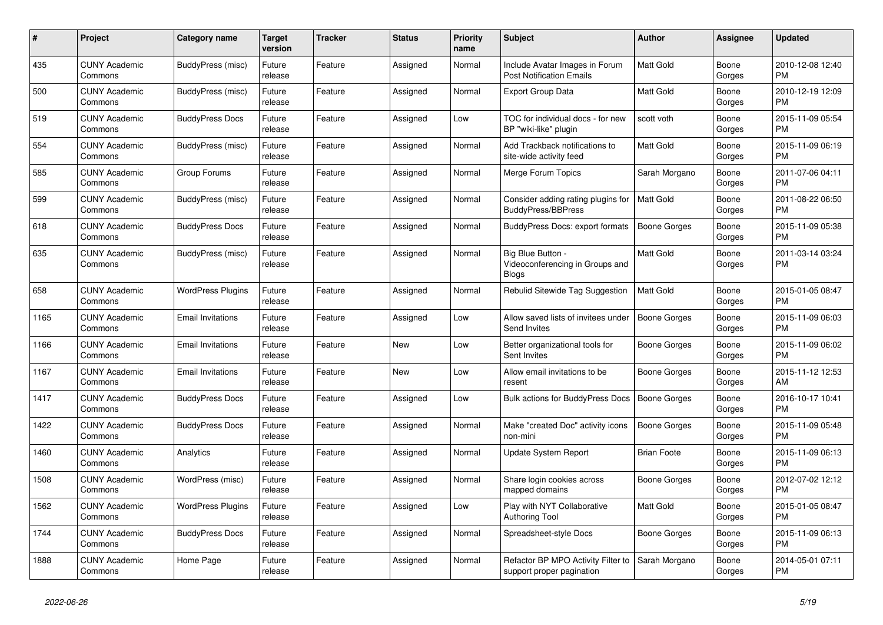| #    | <b>Project</b>                  | <b>Category name</b>     | <b>Target</b><br>version | <b>Tracker</b> | <b>Status</b> | <b>Priority</b><br>name | <b>Subject</b>                                                       | Author              | <b>Assignee</b> | <b>Updated</b>                |
|------|---------------------------------|--------------------------|--------------------------|----------------|---------------|-------------------------|----------------------------------------------------------------------|---------------------|-----------------|-------------------------------|
| 435  | <b>CUNY Academic</b><br>Commons | BuddyPress (misc)        | Future<br>release        | Feature        | Assigned      | Normal                  | Include Avatar Images in Forum<br><b>Post Notification Emails</b>    | <b>Matt Gold</b>    | Boone<br>Gorges | 2010-12-08 12:40<br><b>PM</b> |
| 500  | <b>CUNY Academic</b><br>Commons | BuddyPress (misc)        | Future<br>release        | Feature        | Assigned      | Normal                  | <b>Export Group Data</b>                                             | <b>Matt Gold</b>    | Boone<br>Gorges | 2010-12-19 12:09<br><b>PM</b> |
| 519  | <b>CUNY Academic</b><br>Commons | <b>BuddyPress Docs</b>   | Future<br>release        | Feature        | Assigned      | Low                     | TOC for individual docs - for new<br>BP "wiki-like" plugin           | scott voth          | Boone<br>Gorges | 2015-11-09 05:54<br><b>PM</b> |
| 554  | <b>CUNY Academic</b><br>Commons | BuddyPress (misc)        | Future<br>release        | Feature        | Assigned      | Normal                  | Add Trackback notifications to<br>site-wide activity feed            | <b>Matt Gold</b>    | Boone<br>Gorges | 2015-11-09 06:19<br><b>PM</b> |
| 585  | <b>CUNY Academic</b><br>Commons | Group Forums             | Future<br>release        | Feature        | Assigned      | Normal                  | Merge Forum Topics                                                   | Sarah Morgano       | Boone<br>Gorges | 2011-07-06 04:11<br><b>PM</b> |
| 599  | <b>CUNY Academic</b><br>Commons | BuddyPress (misc)        | Future<br>release        | Feature        | Assigned      | Normal                  | Consider adding rating plugins for<br><b>BuddyPress/BBPress</b>      | Matt Gold           | Boone<br>Gorges | 2011-08-22 06:50<br><b>PM</b> |
| 618  | <b>CUNY Academic</b><br>Commons | <b>BuddyPress Docs</b>   | Future<br>release        | Feature        | Assigned      | Normal                  | BuddyPress Docs: export formats                                      | <b>Boone Gorges</b> | Boone<br>Gorges | 2015-11-09 05:38<br><b>PM</b> |
| 635  | <b>CUNY Academic</b><br>Commons | BuddyPress (misc)        | Future<br>release        | Feature        | Assigned      | Normal                  | Big Blue Button -<br>Videoconferencing in Groups and<br><b>Blogs</b> | <b>Matt Gold</b>    | Boone<br>Gorges | 2011-03-14 03:24<br><b>PM</b> |
| 658  | <b>CUNY Academic</b><br>Commons | <b>WordPress Plugins</b> | Future<br>release        | Feature        | Assigned      | Normal                  | Rebulid Sitewide Tag Suggestion                                      | <b>Matt Gold</b>    | Boone<br>Gorges | 2015-01-05 08:47<br><b>PM</b> |
| 1165 | <b>CUNY Academic</b><br>Commons | <b>Email Invitations</b> | Future<br>release        | Feature        | Assigned      | Low                     | Allow saved lists of invitees under<br>Send Invites                  | <b>Boone Gorges</b> | Boone<br>Gorges | 2015-11-09 06:03<br><b>PM</b> |
| 1166 | <b>CUNY Academic</b><br>Commons | <b>Email Invitations</b> | Future<br>release        | Feature        | <b>New</b>    | Low                     | Better organizational tools for<br>Sent Invites                      | Boone Gorges        | Boone<br>Gorges | 2015-11-09 06:02<br><b>PM</b> |
| 1167 | <b>CUNY Academic</b><br>Commons | <b>Email Invitations</b> | Future<br>release        | Feature        | <b>New</b>    | Low                     | Allow email invitations to be<br>resent                              | Boone Gorges        | Boone<br>Gorges | 2015-11-12 12:53<br>AM        |
| 1417 | <b>CUNY Academic</b><br>Commons | <b>BuddyPress Docs</b>   | Future<br>release        | Feature        | Assigned      | Low                     | <b>Bulk actions for BuddyPress Docs</b>                              | <b>Boone Gorges</b> | Boone<br>Gorges | 2016-10-17 10:41<br><b>PM</b> |
| 1422 | <b>CUNY Academic</b><br>Commons | <b>BuddyPress Docs</b>   | Future<br>release        | Feature        | Assigned      | Normal                  | Make "created Doc" activity icons<br>non-mini                        | Boone Gorges        | Boone<br>Gorges | 2015-11-09 05:48<br><b>PM</b> |
| 1460 | <b>CUNY Academic</b><br>Commons | Analytics                | Future<br>release        | Feature        | Assigned      | Normal                  | <b>Update System Report</b>                                          | <b>Brian Foote</b>  | Boone<br>Gorges | 2015-11-09 06:13<br><b>PM</b> |
| 1508 | <b>CUNY Academic</b><br>Commons | WordPress (misc)         | Future<br>release        | Feature        | Assigned      | Normal                  | Share login cookies across<br>mapped domains                         | Boone Gorges        | Boone<br>Gorges | 2012-07-02 12:12<br><b>PM</b> |
| 1562 | <b>CUNY Academic</b><br>Commons | <b>WordPress Plugins</b> | Future<br>release        | Feature        | Assigned      | Low                     | Play with NYT Collaborative<br><b>Authoring Tool</b>                 | Matt Gold           | Boone<br>Gorges | 2015-01-05 08:47<br><b>PM</b> |
| 1744 | <b>CUNY Academic</b><br>Commons | <b>BuddyPress Docs</b>   | Future<br>release        | Feature        | Assigned      | Normal                  | Spreadsheet-style Docs                                               | Boone Gorges        | Boone<br>Gorges | 2015-11-09 06:13<br><b>PM</b> |
| 1888 | <b>CUNY Academic</b><br>Commons | Home Page                | Future<br>release        | Feature        | Assigned      | Normal                  | Refactor BP MPO Activity Filter to<br>support proper pagination      | Sarah Morgano       | Boone<br>Gorges | 2014-05-01 07:11<br><b>PM</b> |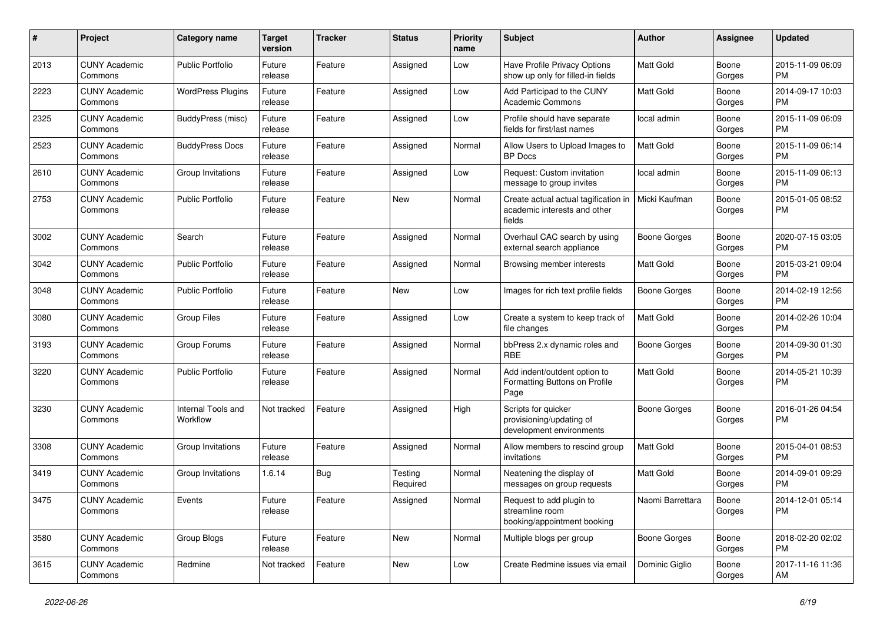| #    | Project                         | <b>Category name</b>           | <b>Target</b><br>version | <b>Tracker</b> | <b>Status</b>       | <b>Priority</b><br>name | <b>Subject</b>                                                                 | Author              | Assignee        | <b>Updated</b>                |
|------|---------------------------------|--------------------------------|--------------------------|----------------|---------------------|-------------------------|--------------------------------------------------------------------------------|---------------------|-----------------|-------------------------------|
| 2013 | <b>CUNY Academic</b><br>Commons | <b>Public Portfolio</b>        | Future<br>release        | Feature        | Assigned            | Low                     | Have Profile Privacy Options<br>show up only for filled-in fields              | <b>Matt Gold</b>    | Boone<br>Gorges | 2015-11-09 06:09<br><b>PM</b> |
| 2223 | <b>CUNY Academic</b><br>Commons | <b>WordPress Plugins</b>       | Future<br>release        | Feature        | Assigned            | Low                     | Add Participad to the CUNY<br><b>Academic Commons</b>                          | Matt Gold           | Boone<br>Gorges | 2014-09-17 10:03<br><b>PM</b> |
| 2325 | <b>CUNY Academic</b><br>Commons | BuddyPress (misc)              | Future<br>release        | Feature        | Assigned            | Low                     | Profile should have separate<br>fields for first/last names                    | local admin         | Boone<br>Gorges | 2015-11-09 06:09<br><b>PM</b> |
| 2523 | <b>CUNY Academic</b><br>Commons | <b>BuddyPress Docs</b>         | Future<br>release        | Feature        | Assigned            | Normal                  | Allow Users to Upload Images to<br><b>BP</b> Docs                              | <b>Matt Gold</b>    | Boone<br>Gorges | 2015-11-09 06:14<br><b>PM</b> |
| 2610 | <b>CUNY Academic</b><br>Commons | Group Invitations              | Future<br>release        | Feature        | Assigned            | Low                     | Request: Custom invitation<br>message to group invites                         | local admin         | Boone<br>Gorges | 2015-11-09 06:13<br><b>PM</b> |
| 2753 | <b>CUNY Academic</b><br>Commons | <b>Public Portfolio</b>        | Future<br>release        | Feature        | New                 | Normal                  | Create actual actual tagification in<br>academic interests and other<br>fields | Micki Kaufman       | Boone<br>Gorges | 2015-01-05 08:52<br><b>PM</b> |
| 3002 | <b>CUNY Academic</b><br>Commons | Search                         | Future<br>release        | Feature        | Assigned            | Normal                  | Overhaul CAC search by using<br>external search appliance                      | <b>Boone Gorges</b> | Boone<br>Gorges | 2020-07-15 03:05<br><b>PM</b> |
| 3042 | <b>CUNY Academic</b><br>Commons | <b>Public Portfolio</b>        | Future<br>release        | Feature        | Assigned            | Normal                  | Browsing member interests                                                      | Matt Gold           | Boone<br>Gorges | 2015-03-21 09:04<br><b>PM</b> |
| 3048 | <b>CUNY Academic</b><br>Commons | <b>Public Portfolio</b>        | Future<br>release        | Feature        | New                 | Low                     | Images for rich text profile fields                                            | <b>Boone Gorges</b> | Boone<br>Gorges | 2014-02-19 12:56<br><b>PM</b> |
| 3080 | <b>CUNY Academic</b><br>Commons | <b>Group Files</b>             | Future<br>release        | Feature        | Assigned            | Low                     | Create a system to keep track of<br>file changes                               | Matt Gold           | Boone<br>Gorges | 2014-02-26 10:04<br><b>PM</b> |
| 3193 | <b>CUNY Academic</b><br>Commons | Group Forums                   | Future<br>release        | Feature        | Assigned            | Normal                  | bbPress 2.x dynamic roles and<br><b>RBE</b>                                    | <b>Boone Gorges</b> | Boone<br>Gorges | 2014-09-30 01:30<br><b>PM</b> |
| 3220 | <b>CUNY Academic</b><br>Commons | Public Portfolio               | Future<br>release        | Feature        | Assigned            | Normal                  | Add indent/outdent option to<br>Formatting Buttons on Profile<br>Page          | Matt Gold           | Boone<br>Gorges | 2014-05-21 10:39<br><b>PM</b> |
| 3230 | <b>CUNY Academic</b><br>Commons | Internal Tools and<br>Workflow | Not tracked              | Feature        | Assigned            | High                    | Scripts for quicker<br>provisioning/updating of<br>development environments    | <b>Boone Gorges</b> | Boone<br>Gorges | 2016-01-26 04:54<br><b>PM</b> |
| 3308 | <b>CUNY Academic</b><br>Commons | Group Invitations              | Future<br>release        | Feature        | Assigned            | Normal                  | Allow members to rescind group<br>invitations                                  | Matt Gold           | Boone<br>Gorges | 2015-04-01 08:53<br><b>PM</b> |
| 3419 | <b>CUNY Academic</b><br>Commons | Group Invitations              | 1.6.14                   | Bug            | Testing<br>Required | Normal                  | Neatening the display of<br>messages on group requests                         | Matt Gold           | Boone<br>Gorges | 2014-09-01 09:29<br>PM        |
| 3475 | <b>CUNY Academic</b><br>Commons | Events                         | Future<br>release        | Feature        | Assigned            | Normal                  | Request to add plugin to<br>streamline room<br>booking/appointment booking     | Naomi Barrettara    | Boone<br>Gorges | 2014-12-01 05:14<br><b>PM</b> |
| 3580 | <b>CUNY Academic</b><br>Commons | Group Blogs                    | Future<br>release        | Feature        | New                 | Normal                  | Multiple blogs per group                                                       | <b>Boone Gorges</b> | Boone<br>Gorges | 2018-02-20 02:02<br><b>PM</b> |
| 3615 | <b>CUNY Academic</b><br>Commons | Redmine                        | Not tracked              | Feature        | New                 | Low                     | Create Redmine issues via email                                                | Dominic Giglio      | Boone<br>Gorges | 2017-11-16 11:36<br>AM        |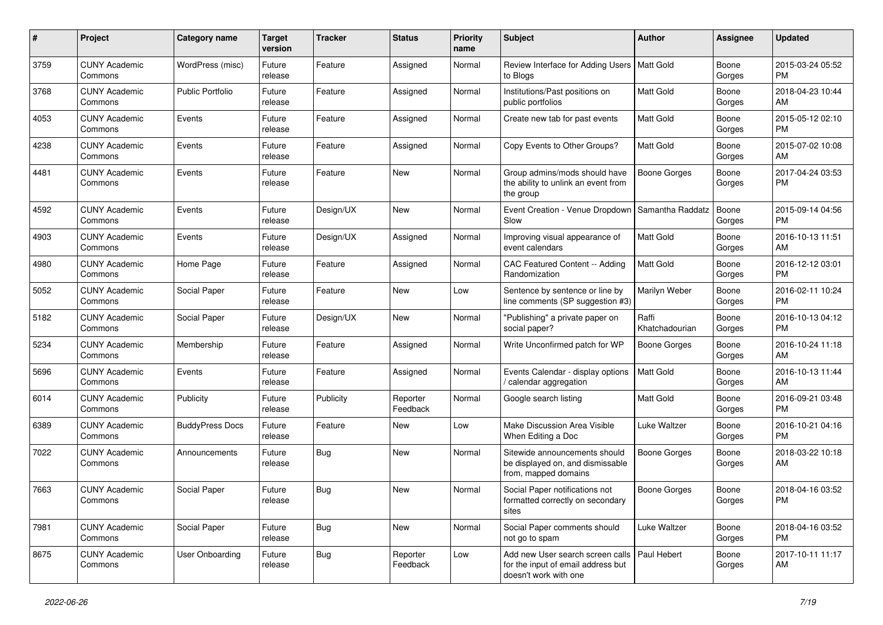| #    | Project                         | <b>Category name</b>    | <b>Target</b><br>version | <b>Tracker</b> | <b>Status</b>        | <b>Priority</b><br>name | Subject                                                                                                       | Author                  | <b>Assignee</b> | <b>Updated</b>                |
|------|---------------------------------|-------------------------|--------------------------|----------------|----------------------|-------------------------|---------------------------------------------------------------------------------------------------------------|-------------------------|-----------------|-------------------------------|
| 3759 | <b>CUNY Academic</b><br>Commons | WordPress (misc)        | Future<br>release        | Feature        | Assigned             | Normal                  | Review Interface for Adding Users   Matt Gold<br>to Blogs                                                     |                         | Boone<br>Gorges | 2015-03-24 05:52<br><b>PM</b> |
| 3768 | <b>CUNY Academic</b><br>Commons | <b>Public Portfolio</b> | Future<br>release        | Feature        | Assigned             | Normal                  | Institutions/Past positions on<br>public portfolios                                                           | Matt Gold               | Boone<br>Gorges | 2018-04-23 10:44<br>AM        |
| 4053 | <b>CUNY Academic</b><br>Commons | Events                  | Future<br>release        | Feature        | Assigned             | Normal                  | Create new tab for past events                                                                                | Matt Gold               | Boone<br>Gorges | 2015-05-12 02:10<br><b>PM</b> |
| 4238 | <b>CUNY Academic</b><br>Commons | Events                  | Future<br>release        | Feature        | Assigned             | Normal                  | Copy Events to Other Groups?                                                                                  | <b>Matt Gold</b>        | Boone<br>Gorges | 2015-07-02 10:08<br>AM        |
| 4481 | <b>CUNY Academic</b><br>Commons | Events                  | Future<br>release        | Feature        | New                  | Normal                  | Group admins/mods should have<br>the ability to unlink an event from<br>the group                             | <b>Boone Gorges</b>     | Boone<br>Gorges | 2017-04-24 03:53<br><b>PM</b> |
| 4592 | <b>CUNY Academic</b><br>Commons | Events                  | Future<br>release        | Design/UX      | New                  | Normal                  | Event Creation - Venue Dropdown   Samantha Raddatz<br>Slow                                                    |                         | Boone<br>Gorges | 2015-09-14 04:56<br><b>PM</b> |
| 4903 | <b>CUNY Academic</b><br>Commons | Events                  | Future<br>release        | Design/UX      | Assigned             | Normal                  | Improving visual appearance of<br>event calendars                                                             | <b>Matt Gold</b>        | Boone<br>Gorges | 2016-10-13 11:51<br>AM        |
| 4980 | <b>CUNY Academic</b><br>Commons | Home Page               | Future<br>release        | Feature        | Assigned             | Normal                  | CAC Featured Content -- Adding<br>Randomization                                                               | <b>Matt Gold</b>        | Boone<br>Gorges | 2016-12-12 03:01<br><b>PM</b> |
| 5052 | <b>CUNY Academic</b><br>Commons | Social Paper            | Future<br>release        | Feature        | New                  | Low                     | Sentence by sentence or line by<br>line comments (SP suggestion #3)                                           | Marilyn Weber           | Boone<br>Gorges | 2016-02-11 10:24<br><b>PM</b> |
| 5182 | <b>CUNY Academic</b><br>Commons | Social Paper            | Future<br>release        | Design/UX      | New                  | Normal                  | "Publishing" a private paper on<br>social paper?                                                              | Raffi<br>Khatchadourian | Boone<br>Gorges | 2016-10-13 04:12<br><b>PM</b> |
| 5234 | <b>CUNY Academic</b><br>Commons | Membership              | Future<br>release        | Feature        | Assigned             | Normal                  | Write Unconfirmed patch for WP                                                                                | <b>Boone Gorges</b>     | Boone<br>Gorges | 2016-10-24 11:18<br>AM        |
| 5696 | <b>CUNY Academic</b><br>Commons | Events                  | Future<br>release        | Feature        | Assigned             | Normal                  | Events Calendar - display options<br>calendar aggregation                                                     | <b>Matt Gold</b>        | Boone<br>Gorges | 2016-10-13 11:44<br>AM        |
| 6014 | <b>CUNY Academic</b><br>Commons | Publicity               | Future<br>release        | Publicity      | Reporter<br>Feedback | Normal                  | Google search listing                                                                                         | <b>Matt Gold</b>        | Boone<br>Gorges | 2016-09-21 03:48<br><b>PM</b> |
| 6389 | <b>CUNY Academic</b><br>Commons | <b>BuddyPress Docs</b>  | Future<br>release        | Feature        | New                  | Low                     | Make Discussion Area Visible<br>When Editing a Doc                                                            | <b>Luke Waltzer</b>     | Boone<br>Gorges | 2016-10-21 04:16<br><b>PM</b> |
| 7022 | <b>CUNY Academic</b><br>Commons | Announcements           | Future<br>release        | Bug            | <b>New</b>           | Normal                  | Sitewide announcements should<br>be displayed on, and dismissable<br>from, mapped domains                     | <b>Boone Gorges</b>     | Boone<br>Gorges | 2018-03-22 10:18<br>AM        |
| 7663 | <b>CUNY Academic</b><br>Commons | Social Paper            | Future<br>release        | Bug            | New                  | Normal                  | Social Paper notifications not<br>formatted correctly on secondary<br>sites                                   | Boone Gorges            | Boone<br>Gorges | 2018-04-16 03:52<br>PM        |
| 7981 | <b>CUNY Academic</b><br>Commons | Social Paper            | Future<br>release        | Bug            | New                  | Normal                  | Social Paper comments should<br>not go to spam                                                                | Luke Waltzer            | Boone<br>Gorges | 2018-04-16 03:52<br><b>PM</b> |
| 8675 | <b>CUNY Academic</b><br>Commons | User Onboarding         | Future<br>release        | <b>Bug</b>     | Reporter<br>Feedback | Low                     | Add new User search screen calls   Paul Hebert<br>for the input of email address but<br>doesn't work with one |                         | Boone<br>Gorges | 2017-10-11 11:17<br>AM        |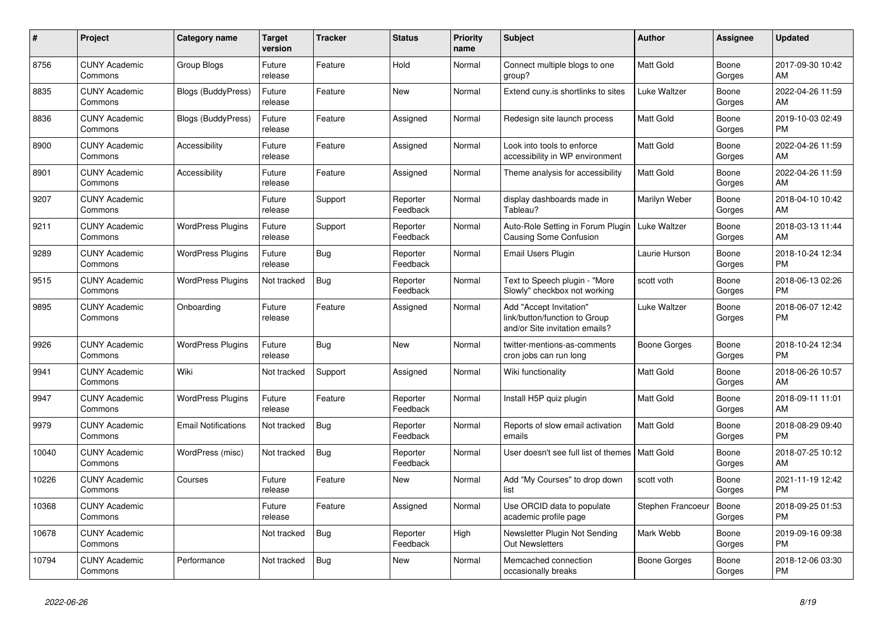| #     | <b>Project</b>                  | Category name              | Target<br>version | <b>Tracker</b> | <b>Status</b>        | <b>Priority</b><br>name | <b>Subject</b>                                                                             | <b>Author</b>       | Assignee        | <b>Updated</b>                |
|-------|---------------------------------|----------------------------|-------------------|----------------|----------------------|-------------------------|--------------------------------------------------------------------------------------------|---------------------|-----------------|-------------------------------|
| 8756  | <b>CUNY Academic</b><br>Commons | Group Blogs                | Future<br>release | Feature        | Hold                 | Normal                  | Connect multiple blogs to one<br>group?                                                    | <b>Matt Gold</b>    | Boone<br>Gorges | 2017-09-30 10:42<br>AM        |
| 8835  | <b>CUNY Academic</b><br>Commons | Blogs (BuddyPress)         | Future<br>release | Feature        | <b>New</b>           | Normal                  | Extend cuny is shortlinks to sites                                                         | Luke Waltzer        | Boone<br>Gorges | 2022-04-26 11:59<br>AM        |
| 8836  | <b>CUNY Academic</b><br>Commons | Blogs (BuddyPress)         | Future<br>release | Feature        | Assigned             | Normal                  | Redesign site launch process                                                               | <b>Matt Gold</b>    | Boone<br>Gorges | 2019-10-03 02:49<br><b>PM</b> |
| 8900  | <b>CUNY Academic</b><br>Commons | Accessibility              | Future<br>release | Feature        | Assigned             | Normal                  | Look into tools to enforce<br>accessibility in WP environment                              | Matt Gold           | Boone<br>Gorges | 2022-04-26 11:59<br>AM        |
| 8901  | <b>CUNY Academic</b><br>Commons | Accessibility              | Future<br>release | Feature        | Assigned             | Normal                  | Theme analysis for accessibility                                                           | Matt Gold           | Boone<br>Gorges | 2022-04-26 11:59<br>AM        |
| 9207  | <b>CUNY Academic</b><br>Commons |                            | Future<br>release | Support        | Reporter<br>Feedback | Normal                  | display dashboards made in<br>Tableau?                                                     | Marilyn Weber       | Boone<br>Gorges | 2018-04-10 10:42<br>AM        |
| 9211  | <b>CUNY Academic</b><br>Commons | <b>WordPress Plugins</b>   | Future<br>release | Support        | Reporter<br>Feedback | Normal                  | Auto-Role Setting in Forum Plugin<br><b>Causing Some Confusion</b>                         | <b>Luke Waltzer</b> | Boone<br>Gorges | 2018-03-13 11:44<br>AM        |
| 9289  | <b>CUNY Academic</b><br>Commons | <b>WordPress Plugins</b>   | Future<br>release | Bug            | Reporter<br>Feedback | Normal                  | <b>Email Users Plugin</b>                                                                  | Laurie Hurson       | Boone<br>Gorges | 2018-10-24 12:34<br>PM        |
| 9515  | <b>CUNY Academic</b><br>Commons | <b>WordPress Plugins</b>   | Not tracked       | <b>Bug</b>     | Reporter<br>Feedback | Normal                  | Text to Speech plugin - "More<br>Slowly" checkbox not working                              | scott voth          | Boone<br>Gorges | 2018-06-13 02:26<br><b>PM</b> |
| 9895  | <b>CUNY Academic</b><br>Commons | Onboarding                 | Future<br>release | Feature        | Assigned             | Normal                  | Add "Accept Invitation"<br>link/button/function to Group<br>and/or Site invitation emails? | Luke Waltzer        | Boone<br>Gorges | 2018-06-07 12:42<br><b>PM</b> |
| 9926  | <b>CUNY Academic</b><br>Commons | <b>WordPress Plugins</b>   | Future<br>release | Bug            | <b>New</b>           | Normal                  | twitter-mentions-as-comments<br>cron jobs can run long                                     | Boone Gorges        | Boone<br>Gorges | 2018-10-24 12:34<br><b>PM</b> |
| 9941  | <b>CUNY Academic</b><br>Commons | Wiki                       | Not tracked       | Support        | Assigned             | Normal                  | Wiki functionality                                                                         | Matt Gold           | Boone<br>Gorges | 2018-06-26 10:57<br>AM        |
| 9947  | <b>CUNY Academic</b><br>Commons | <b>WordPress Plugins</b>   | Future<br>release | Feature        | Reporter<br>Feedback | Normal                  | Install H5P quiz plugin                                                                    | <b>Matt Gold</b>    | Boone<br>Gorges | 2018-09-11 11:01<br>AM        |
| 9979  | <b>CUNY Academic</b><br>Commons | <b>Email Notifications</b> | Not tracked       | <b>Bug</b>     | Reporter<br>Feedback | Normal                  | Reports of slow email activation<br>emails                                                 | <b>Matt Gold</b>    | Boone<br>Gorges | 2018-08-29 09:40<br><b>PM</b> |
| 10040 | <b>CUNY Academic</b><br>Commons | WordPress (misc)           | Not tracked       | Bug            | Reporter<br>Feedback | Normal                  | User doesn't see full list of themes   Matt Gold                                           |                     | Boone<br>Gorges | 2018-07-25 10:12<br>AM        |
| 10226 | <b>CUNY Academic</b><br>Commons | Courses                    | Future<br>release | Feature        | <b>New</b>           | Normal                  | Add "My Courses" to drop down<br>list                                                      | scott voth          | Boone<br>Gorges | 2021-11-19 12:42<br><b>PM</b> |
| 10368 | <b>CUNY Academic</b><br>Commons |                            | Future<br>release | Feature        | Assigned             | Normal                  | Use ORCID data to populate<br>academic profile page                                        | Stephen Francoeur   | Boone<br>Gorges | 2018-09-25 01:53<br><b>PM</b> |
| 10678 | <b>CUNY Academic</b><br>Commons |                            | Not tracked       | Bug            | Reporter<br>Feedback | High                    | Newsletter Plugin Not Sending<br>Out Newsletters                                           | Mark Webb           | Boone<br>Gorges | 2019-09-16 09:38<br><b>PM</b> |
| 10794 | <b>CUNY Academic</b><br>Commons | Performance                | Not tracked       | Bug            | <b>New</b>           | Normal                  | Memcached connection<br>occasionally breaks                                                | Boone Gorges        | Boone<br>Gorges | 2018-12-06 03:30<br><b>PM</b> |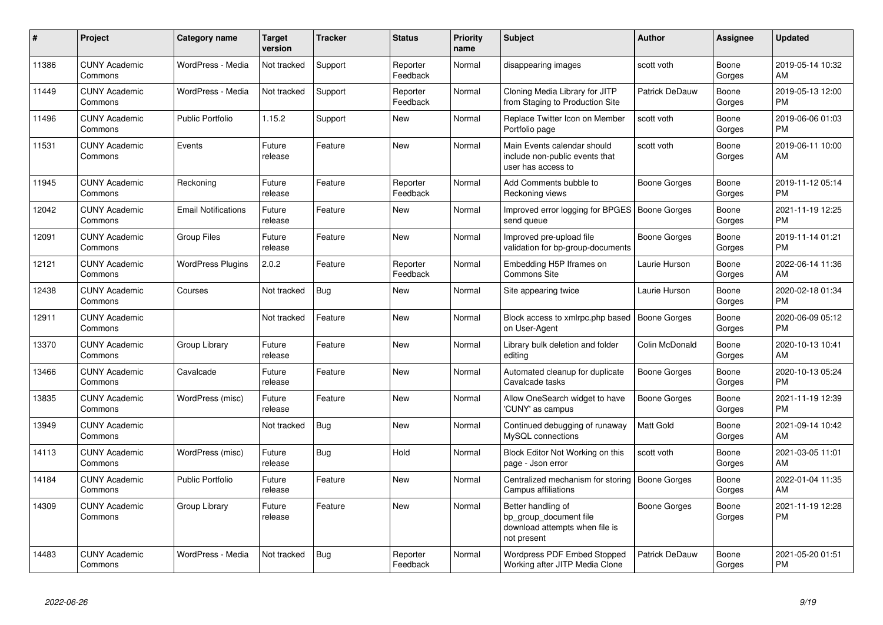| #     | Project                         | <b>Category name</b>       | Target<br>version | <b>Tracker</b> | <b>Status</b>        | <b>Priority</b><br>name | <b>Subject</b>                                                                                | <b>Author</b>       | <b>Assignee</b> | <b>Updated</b>                |
|-------|---------------------------------|----------------------------|-------------------|----------------|----------------------|-------------------------|-----------------------------------------------------------------------------------------------|---------------------|-----------------|-------------------------------|
| 11386 | <b>CUNY Academic</b><br>Commons | WordPress - Media          | Not tracked       | Support        | Reporter<br>Feedback | Normal                  | disappearing images                                                                           | scott voth          | Boone<br>Gorges | 2019-05-14 10:32<br>AM        |
| 11449 | <b>CUNY Academic</b><br>Commons | WordPress - Media          | Not tracked       | Support        | Reporter<br>Feedback | Normal                  | Cloning Media Library for JITP<br>from Staging to Production Site                             | Patrick DeDauw      | Boone<br>Gorges | 2019-05-13 12:00<br><b>PM</b> |
| 11496 | <b>CUNY Academic</b><br>Commons | <b>Public Portfolio</b>    | 1.15.2            | Support        | <b>New</b>           | Normal                  | Replace Twitter Icon on Member<br>Portfolio page                                              | scott voth          | Boone<br>Gorges | 2019-06-06 01:03<br><b>PM</b> |
| 11531 | <b>CUNY Academic</b><br>Commons | Events                     | Future<br>release | Feature        | New                  | Normal                  | Main Events calendar should<br>include non-public events that<br>user has access to           | scott voth          | Boone<br>Gorges | 2019-06-11 10:00<br>AM        |
| 11945 | <b>CUNY Academic</b><br>Commons | Reckoning                  | Future<br>release | Feature        | Reporter<br>Feedback | Normal                  | Add Comments bubble to<br>Reckoning views                                                     | Boone Gorges        | Boone<br>Gorges | 2019-11-12 05:14<br><b>PM</b> |
| 12042 | <b>CUNY Academic</b><br>Commons | <b>Email Notifications</b> | Future<br>release | Feature        | New                  | Normal                  | Improved error logging for BPGES   Boone Gorges<br>send queue                                 |                     | Boone<br>Gorges | 2021-11-19 12:25<br><b>PM</b> |
| 12091 | <b>CUNY Academic</b><br>Commons | <b>Group Files</b>         | Future<br>release | Feature        | <b>New</b>           | Normal                  | Improved pre-upload file<br>validation for bp-group-documents                                 | Boone Gorges        | Boone<br>Gorges | 2019-11-14 01:21<br><b>PM</b> |
| 12121 | <b>CUNY Academic</b><br>Commons | <b>WordPress Plugins</b>   | 2.0.2             | Feature        | Reporter<br>Feedback | Normal                  | Embedding H5P Iframes on<br>Commons Site                                                      | Laurie Hurson       | Boone<br>Gorges | 2022-06-14 11:36<br>AM        |
| 12438 | <b>CUNY Academic</b><br>Commons | Courses                    | Not tracked       | <b>Bug</b>     | <b>New</b>           | Normal                  | Site appearing twice                                                                          | Laurie Hurson       | Boone<br>Gorges | 2020-02-18 01:34<br><b>PM</b> |
| 12911 | <b>CUNY Academic</b><br>Commons |                            | Not tracked       | Feature        | <b>New</b>           | Normal                  | Block access to xmlrpc.php based<br>on User-Agent                                             | <b>Boone Gorges</b> | Boone<br>Gorges | 2020-06-09 05:12<br><b>PM</b> |
| 13370 | <b>CUNY Academic</b><br>Commons | Group Library              | Future<br>release | Feature        | <b>New</b>           | Normal                  | Library bulk deletion and folder<br>editing                                                   | Colin McDonald      | Boone<br>Gorges | 2020-10-13 10:41<br>AM        |
| 13466 | <b>CUNY Academic</b><br>Commons | Cavalcade                  | Future<br>release | Feature        | <b>New</b>           | Normal                  | Automated cleanup for duplicate<br>Cavalcade tasks                                            | <b>Boone Gorges</b> | Boone<br>Gorges | 2020-10-13 05:24<br><b>PM</b> |
| 13835 | <b>CUNY Academic</b><br>Commons | WordPress (misc)           | Future<br>release | Feature        | <b>New</b>           | Normal                  | Allow OneSearch widget to have<br>'CUNY' as campus                                            | Boone Gorges        | Boone<br>Gorges | 2021-11-19 12:39<br><b>PM</b> |
| 13949 | <b>CUNY Academic</b><br>Commons |                            | Not tracked       | Bug            | <b>New</b>           | Normal                  | Continued debugging of runaway<br>MySQL connections                                           | <b>Matt Gold</b>    | Boone<br>Gorges | 2021-09-14 10:42<br>AM        |
| 14113 | <b>CUNY Academic</b><br>Commons | WordPress (misc)           | Future<br>release | <b>Bug</b>     | Hold                 | Normal                  | Block Editor Not Working on this<br>page - Json error                                         | scott voth          | Boone<br>Gorges | 2021-03-05 11:01<br>AM        |
| 14184 | <b>CUNY Academic</b><br>Commons | <b>Public Portfolio</b>    | Future<br>release | Feature        | <b>New</b>           | Normal                  | Centralized mechanism for storing<br>Campus affiliations                                      | <b>Boone Gorges</b> | Boone<br>Gorges | 2022-01-04 11:35<br>AM        |
| 14309 | <b>CUNY Academic</b><br>Commons | Group Library              | Future<br>release | Feature        | New                  | Normal                  | Better handling of<br>bp group document file<br>download attempts when file is<br>not present | <b>Boone Gorges</b> | Boone<br>Gorges | 2021-11-19 12:28<br><b>PM</b> |
| 14483 | <b>CUNY Academic</b><br>Commons | WordPress - Media          | Not tracked       | <b>Bug</b>     | Reporter<br>Feedback | Normal                  | Wordpress PDF Embed Stopped<br>Working after JITP Media Clone                                 | Patrick DeDauw      | Boone<br>Gorges | 2021-05-20 01:51<br><b>PM</b> |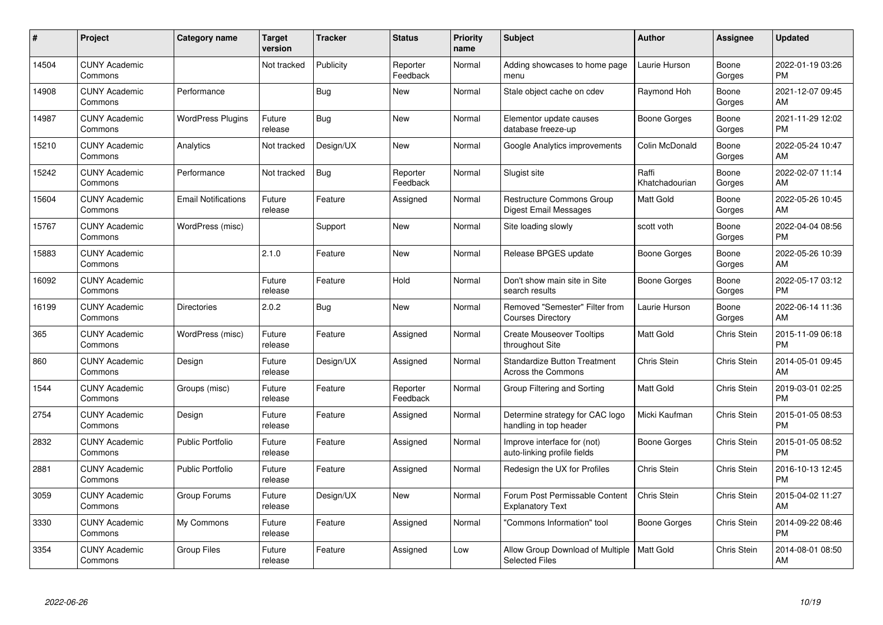| #     | Project                         | Category name              | <b>Target</b><br>version | <b>Tracker</b> | <b>Status</b>        | <b>Priority</b><br>name | <b>Subject</b>                                                   | <b>Author</b>           | <b>Assignee</b> | <b>Updated</b>                |
|-------|---------------------------------|----------------------------|--------------------------|----------------|----------------------|-------------------------|------------------------------------------------------------------|-------------------------|-----------------|-------------------------------|
| 14504 | <b>CUNY Academic</b><br>Commons |                            | Not tracked              | Publicity      | Reporter<br>Feedback | Normal                  | Adding showcases to home page<br>menu                            | Laurie Hurson           | Boone<br>Gorges | 2022-01-19 03:26<br><b>PM</b> |
| 14908 | <b>CUNY Academic</b><br>Commons | Performance                |                          | <b>Bug</b>     | <b>New</b>           | Normal                  | Stale object cache on cdev                                       | Raymond Hoh             | Boone<br>Gorges | 2021-12-07 09:45<br>AM        |
| 14987 | <b>CUNY Academic</b><br>Commons | <b>WordPress Plugins</b>   | Future<br>release        | Bug            | <b>New</b>           | Normal                  | Elementor update causes<br>database freeze-up                    | Boone Gorges            | Boone<br>Gorges | 2021-11-29 12:02<br><b>PM</b> |
| 15210 | <b>CUNY Academic</b><br>Commons | Analytics                  | Not tracked              | Design/UX      | New                  | Normal                  | Google Analytics improvements                                    | Colin McDonald          | Boone<br>Gorges | 2022-05-24 10:47<br>AM        |
| 15242 | <b>CUNY Academic</b><br>Commons | Performance                | Not tracked              | <b>Bug</b>     | Reporter<br>Feedback | Normal                  | Slugist site                                                     | Raffi<br>Khatchadourian | Boone<br>Gorges | 2022-02-07 11:14<br>AM        |
| 15604 | <b>CUNY Academic</b><br>Commons | <b>Email Notifications</b> | Future<br>release        | Feature        | Assigned             | Normal                  | Restructure Commons Group<br><b>Digest Email Messages</b>        | Matt Gold               | Boone<br>Gorges | 2022-05-26 10:45<br>AM        |
| 15767 | <b>CUNY Academic</b><br>Commons | WordPress (misc)           |                          | Support        | <b>New</b>           | Normal                  | Site loading slowly                                              | scott voth              | Boone<br>Gorges | 2022-04-04 08:56<br><b>PM</b> |
| 15883 | <b>CUNY Academic</b><br>Commons |                            | 2.1.0                    | Feature        | <b>New</b>           | Normal                  | Release BPGES update                                             | Boone Gorges            | Boone<br>Gorges | 2022-05-26 10:39<br>AM        |
| 16092 | <b>CUNY Academic</b><br>Commons |                            | Future<br>release        | Feature        | Hold                 | Normal                  | Don't show main site in Site<br>search results                   | Boone Gorges            | Boone<br>Gorges | 2022-05-17 03:12<br><b>PM</b> |
| 16199 | <b>CUNY Academic</b><br>Commons | <b>Directories</b>         | 2.0.2                    | Bug            | <b>New</b>           | Normal                  | Removed "Semester" Filter from<br><b>Courses Directory</b>       | Laurie Hurson           | Boone<br>Gorges | 2022-06-14 11:36<br>AM        |
| 365   | <b>CUNY Academic</b><br>Commons | WordPress (misc)           | Future<br>release        | Feature        | Assigned             | Normal                  | <b>Create Mouseover Tooltips</b><br>throughout Site              | Matt Gold               | Chris Stein     | 2015-11-09 06:18<br><b>PM</b> |
| 860   | <b>CUNY Academic</b><br>Commons | Design                     | Future<br>release        | Design/UX      | Assigned             | Normal                  | <b>Standardize Button Treatment</b><br><b>Across the Commons</b> | <b>Chris Stein</b>      | Chris Stein     | 2014-05-01 09:45<br>AM        |
| 1544  | <b>CUNY Academic</b><br>Commons | Groups (misc)              | Future<br>release        | Feature        | Reporter<br>Feedback | Normal                  | Group Filtering and Sorting                                      | <b>Matt Gold</b>        | Chris Stein     | 2019-03-01 02:25<br><b>PM</b> |
| 2754  | <b>CUNY Academic</b><br>Commons | Design                     | Future<br>release        | Feature        | Assigned             | Normal                  | Determine strategy for CAC logo<br>handling in top header        | Micki Kaufman           | Chris Stein     | 2015-01-05 08:53<br><b>PM</b> |
| 2832  | <b>CUNY Academic</b><br>Commons | <b>Public Portfolio</b>    | Future<br>release        | Feature        | Assigned             | Normal                  | Improve interface for (not)<br>auto-linking profile fields       | Boone Gorges            | Chris Stein     | 2015-01-05 08:52<br><b>PM</b> |
| 2881  | <b>CUNY Academic</b><br>Commons | <b>Public Portfolio</b>    | Future<br>release        | Feature        | Assigned             | Normal                  | Redesign the UX for Profiles                                     | Chris Stein             | Chris Stein     | 2016-10-13 12:45<br><b>PM</b> |
| 3059  | <b>CUNY Academic</b><br>Commons | Group Forums               | Future<br>release        | Design/UX      | <b>New</b>           | Normal                  | Forum Post Permissable Content<br><b>Explanatory Text</b>        | Chris Stein             | Chris Stein     | 2015-04-02 11:27<br>AM        |
| 3330  | <b>CUNY Academic</b><br>Commons | My Commons                 | Future<br>release        | Feature        | Assigned             | Normal                  | 'Commons Information" tool                                       | Boone Gorges            | Chris Stein     | 2014-09-22 08:46<br><b>PM</b> |
| 3354  | CUNY Academic<br>Commons        | Group Files                | Future<br>release        | Feature        | Assigned             | Low                     | Allow Group Download of Multiple<br><b>Selected Files</b>        | Matt Gold               | Chris Stein     | 2014-08-01 08:50<br>AM        |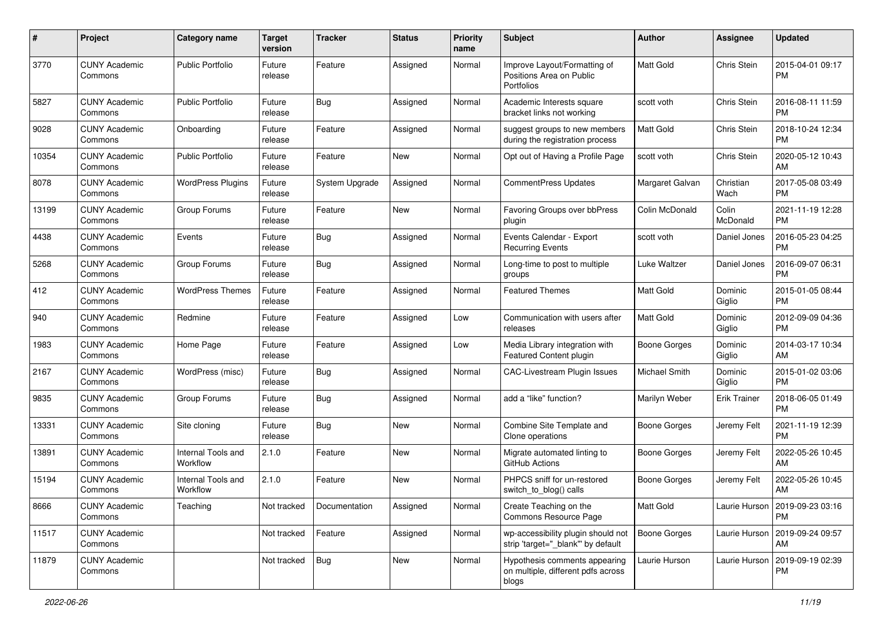| #     | Project                         | <b>Category name</b>           | <b>Target</b><br>version | <b>Tracker</b> | <b>Status</b> | <b>Priority</b><br>name | <b>Subject</b>                                                                | Author              | Assignee            | <b>Updated</b>                                |
|-------|---------------------------------|--------------------------------|--------------------------|----------------|---------------|-------------------------|-------------------------------------------------------------------------------|---------------------|---------------------|-----------------------------------------------|
| 3770  | <b>CUNY Academic</b><br>Commons | <b>Public Portfolio</b>        | Future<br>release        | Feature        | Assigned      | Normal                  | Improve Layout/Formatting of<br>Positions Area on Public<br><b>Portfolios</b> | <b>Matt Gold</b>    | Chris Stein         | 2015-04-01 09:17<br><b>PM</b>                 |
| 5827  | <b>CUNY Academic</b><br>Commons | <b>Public Portfolio</b>        | Future<br>release        | Bug            | Assigned      | Normal                  | Academic Interests square<br>bracket links not working                        | scott voth          | Chris Stein         | 2016-08-11 11:59<br><b>PM</b>                 |
| 9028  | <b>CUNY Academic</b><br>Commons | Onboarding                     | Future<br>release        | Feature        | Assigned      | Normal                  | suggest groups to new members<br>during the registration process              | Matt Gold           | Chris Stein         | 2018-10-24 12:34<br><b>PM</b>                 |
| 10354 | <b>CUNY Academic</b><br>Commons | <b>Public Portfolio</b>        | Future<br>release        | Feature        | <b>New</b>    | Normal                  | Opt out of Having a Profile Page                                              | scott voth          | Chris Stein         | 2020-05-12 10:43<br>AM                        |
| 8078  | <b>CUNY Academic</b><br>Commons | <b>WordPress Plugins</b>       | Future<br>release        | System Upgrade | Assigned      | Normal                  | CommentPress Updates                                                          | Margaret Galvan     | Christian<br>Wach   | 2017-05-08 03:49<br><b>PM</b>                 |
| 13199 | <b>CUNY Academic</b><br>Commons | Group Forums                   | Future<br>release        | Feature        | <b>New</b>    | Normal                  | Favoring Groups over bbPress<br>plugin                                        | Colin McDonald      | Colin<br>McDonald   | 2021-11-19 12:28<br><b>PM</b>                 |
| 4438  | <b>CUNY Academic</b><br>Commons | Events                         | Future<br>release        | Bug            | Assigned      | Normal                  | Events Calendar - Export<br><b>Recurring Events</b>                           | scott voth          | Daniel Jones        | 2016-05-23 04:25<br><b>PM</b>                 |
| 5268  | <b>CUNY Academic</b><br>Commons | Group Forums                   | Future<br>release        | Bug            | Assigned      | Normal                  | Long-time to post to multiple<br>groups                                       | Luke Waltzer        | Daniel Jones        | 2016-09-07 06:31<br><b>PM</b>                 |
| 412   | <b>CUNY Academic</b><br>Commons | <b>WordPress Themes</b>        | Future<br>release        | Feature        | Assigned      | Normal                  | <b>Featured Themes</b>                                                        | <b>Matt Gold</b>    | Dominic<br>Giglio   | 2015-01-05 08:44<br><b>PM</b>                 |
| 940   | <b>CUNY Academic</b><br>Commons | Redmine                        | Future<br>release        | Feature        | Assigned      | Low                     | Communication with users after<br>releases                                    | <b>Matt Gold</b>    | Dominic<br>Giglio   | 2012-09-09 04:36<br><b>PM</b>                 |
| 1983  | <b>CUNY Academic</b><br>Commons | Home Page                      | Future<br>release        | Feature        | Assigned      | Low                     | Media Library integration with<br>Featured Content plugin                     | <b>Boone Gorges</b> | Dominic<br>Giglio   | 2014-03-17 10:34<br>AM                        |
| 2167  | <b>CUNY Academic</b><br>Commons | WordPress (misc)               | Future<br>release        | Bug            | Assigned      | Normal                  | <b>CAC-Livestream Plugin Issues</b>                                           | Michael Smith       | Dominic<br>Giglio   | 2015-01-02 03:06<br><b>PM</b>                 |
| 9835  | <b>CUNY Academic</b><br>Commons | Group Forums                   | Future<br>release        | <b>Bug</b>     | Assigned      | Normal                  | add a "like" function?                                                        | Marilyn Weber       | <b>Erik Trainer</b> | 2018-06-05 01:49<br><b>PM</b>                 |
| 13331 | <b>CUNY Academic</b><br>Commons | Site cloning                   | Future<br>release        | <b>Bug</b>     | <b>New</b>    | Normal                  | Combine Site Template and<br>Clone operations                                 | <b>Boone Gorges</b> | Jeremy Felt         | 2021-11-19 12:39<br><b>PM</b>                 |
| 13891 | <b>CUNY Academic</b><br>Commons | Internal Tools and<br>Workflow | 2.1.0                    | Feature        | <b>New</b>    | Normal                  | Migrate automated linting to<br>GitHub Actions                                | <b>Boone Gorges</b> | Jeremy Felt         | 2022-05-26 10:45<br>AM                        |
| 15194 | <b>CUNY Academic</b><br>Commons | Internal Tools and<br>Workflow | 2.1.0                    | Feature        | <b>New</b>    | Normal                  | PHPCS sniff for un-restored<br>switch to blog() calls                         | <b>Boone Gorges</b> | Jeremy Felt         | 2022-05-26 10:45<br>AM                        |
| 8666  | <b>CUNY Academic</b><br>Commons | Teaching                       | Not tracked              | Documentation  | Assigned      | Normal                  | Create Teaching on the<br>Commons Resource Page                               | Matt Gold           |                     | Laurie Hurson   2019-09-23 03:16<br><b>PM</b> |
| 11517 | <b>CUNY Academic</b><br>Commons |                                | Not tracked              | Feature        | Assigned      | Normal                  | wp-accessibility plugin should not<br>strip 'target="_blank"' by default      | <b>Boone Gorges</b> | Laurie Hurson       | 2019-09-24 09:57<br>AM                        |
| 11879 | <b>CUNY Academic</b><br>Commons |                                | Not tracked              | <b>Bug</b>     | New           | Normal                  | Hypothesis comments appearing<br>on multiple, different pdfs across<br>blogs  | Laurie Hurson       | Laurie Hurson       | 2019-09-19 02:39<br><b>PM</b>                 |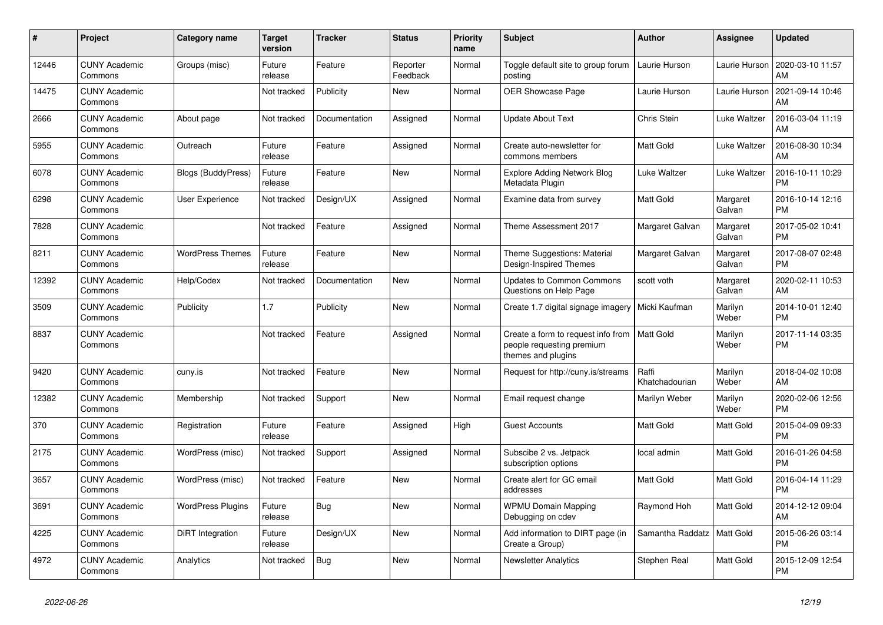| $\pmb{\#}$ | Project                         | Category name             | <b>Target</b><br>version | <b>Tracker</b> | <b>Status</b>        | <b>Priority</b><br>name | <b>Subject</b>                                                                        | <b>Author</b>           | <b>Assignee</b>    | <b>Updated</b>                |
|------------|---------------------------------|---------------------------|--------------------------|----------------|----------------------|-------------------------|---------------------------------------------------------------------------------------|-------------------------|--------------------|-------------------------------|
| 12446      | <b>CUNY Academic</b><br>Commons | Groups (misc)             | Future<br>release        | Feature        | Reporter<br>Feedback | Normal                  | Toggle default site to group forum<br>posting                                         | Laurie Hurson           | Laurie Hurson      | 2020-03-10 11:57<br>AM        |
| 14475      | <b>CUNY Academic</b><br>Commons |                           | Not tracked              | Publicity      | <b>New</b>           | Normal                  | <b>OER Showcase Page</b>                                                              | Laurie Hurson           | Laurie Hurson      | 2021-09-14 10:46<br>AM        |
| 2666       | <b>CUNY Academic</b><br>Commons | About page                | Not tracked              | Documentation  | Assigned             | Normal                  | <b>Update About Text</b>                                                              | Chris Stein             | Luke Waltzer       | 2016-03-04 11:19<br>AM        |
| 5955       | <b>CUNY Academic</b><br>Commons | Outreach                  | Future<br>release        | Feature        | Assigned             | Normal                  | Create auto-newsletter for<br>commons members                                         | <b>Matt Gold</b>        | Luke Waltzer       | 2016-08-30 10:34<br>AM        |
| 6078       | <b>CUNY Academic</b><br>Commons | <b>Blogs (BuddyPress)</b> | Future<br>release        | Feature        | New                  | Normal                  | <b>Explore Adding Network Blog</b><br>Metadata Plugin                                 | Luke Waltzer            | Luke Waltzer       | 2016-10-11 10:29<br><b>PM</b> |
| 6298       | <b>CUNY Academic</b><br>Commons | <b>User Experience</b>    | Not tracked              | Design/UX      | Assigned             | Normal                  | Examine data from survey                                                              | Matt Gold               | Margaret<br>Galvan | 2016-10-14 12:16<br><b>PM</b> |
| 7828       | <b>CUNY Academic</b><br>Commons |                           | Not tracked              | Feature        | Assigned             | Normal                  | Theme Assessment 2017                                                                 | Margaret Galvan         | Margaret<br>Galvan | 2017-05-02 10:41<br><b>PM</b> |
| 8211       | <b>CUNY Academic</b><br>Commons | <b>WordPress Themes</b>   | Future<br>release        | Feature        | <b>New</b>           | Normal                  | Theme Suggestions: Material<br>Design-Inspired Themes                                 | Margaret Galvan         | Margaret<br>Galvan | 2017-08-07 02:48<br><b>PM</b> |
| 12392      | <b>CUNY Academic</b><br>Commons | Help/Codex                | Not tracked              | Documentation  | New                  | Normal                  | <b>Updates to Common Commons</b><br>Questions on Help Page                            | scott voth              | Margaret<br>Galvan | 2020-02-11 10:53<br>AM        |
| 3509       | <b>CUNY Academic</b><br>Commons | Publicity                 | 1.7                      | Publicity      | <b>New</b>           | Normal                  | Create 1.7 digital signage imagery                                                    | Micki Kaufman           | Marilyn<br>Weber   | 2014-10-01 12:40<br><b>PM</b> |
| 8837       | <b>CUNY Academic</b><br>Commons |                           | Not tracked              | Feature        | Assigned             | Normal                  | Create a form to request info from<br>people requesting premium<br>themes and plugins | <b>Matt Gold</b>        | Marilyn<br>Weber   | 2017-11-14 03:35<br><b>PM</b> |
| 9420       | <b>CUNY Academic</b><br>Commons | cuny.is                   | Not tracked              | Feature        | New                  | Normal                  | Request for http://cuny.is/streams                                                    | Raffi<br>Khatchadourian | Marilyn<br>Weber   | 2018-04-02 10:08<br>AM        |
| 12382      | <b>CUNY Academic</b><br>Commons | Membership                | Not tracked              | Support        | <b>New</b>           | Normal                  | Email request change                                                                  | Marilyn Weber           | Marilyn<br>Weber   | 2020-02-06 12:56<br><b>PM</b> |
| 370        | <b>CUNY Academic</b><br>Commons | Registration              | Future<br>release        | Feature        | Assigned             | High                    | <b>Guest Accounts</b>                                                                 | <b>Matt Gold</b>        | Matt Gold          | 2015-04-09 09:33<br><b>PM</b> |
| 2175       | <b>CUNY Academic</b><br>Commons | WordPress (misc)          | Not tracked              | Support        | Assigned             | Normal                  | Subscibe 2 vs. Jetpack<br>subscription options                                        | local admin             | Matt Gold          | 2016-01-26 04:58<br><b>PM</b> |
| 3657       | <b>CUNY Academic</b><br>Commons | WordPress (misc)          | Not tracked              | Feature        | <b>New</b>           | Normal                  | Create alert for GC email<br>addresses                                                | <b>Matt Gold</b>        | Matt Gold          | 2016-04-14 11:29<br><b>PM</b> |
| 3691       | <b>CUNY Academic</b><br>Commons | <b>WordPress Plugins</b>  | Future<br>release        | Bug            | <b>New</b>           | Normal                  | <b>WPMU Domain Mapping</b><br>Debugging on cdev                                       | Raymond Hoh             | Matt Gold          | 2014-12-12 09:04<br>AM        |
| 4225       | <b>CUNY Academic</b><br>Commons | DiRT Integration          | Future<br>release        | Design/UX      | <b>New</b>           | Normal                  | Add information to DIRT page (in<br>Create a Group)                                   | Samantha Raddatz        | Matt Gold          | 2015-06-26 03:14<br><b>PM</b> |
| 4972       | <b>CUNY Academic</b><br>Commons | Analytics                 | Not tracked              | <b>Bug</b>     | <b>New</b>           | Normal                  | <b>Newsletter Analytics</b>                                                           | Stephen Real            | Matt Gold          | 2015-12-09 12:54<br><b>PM</b> |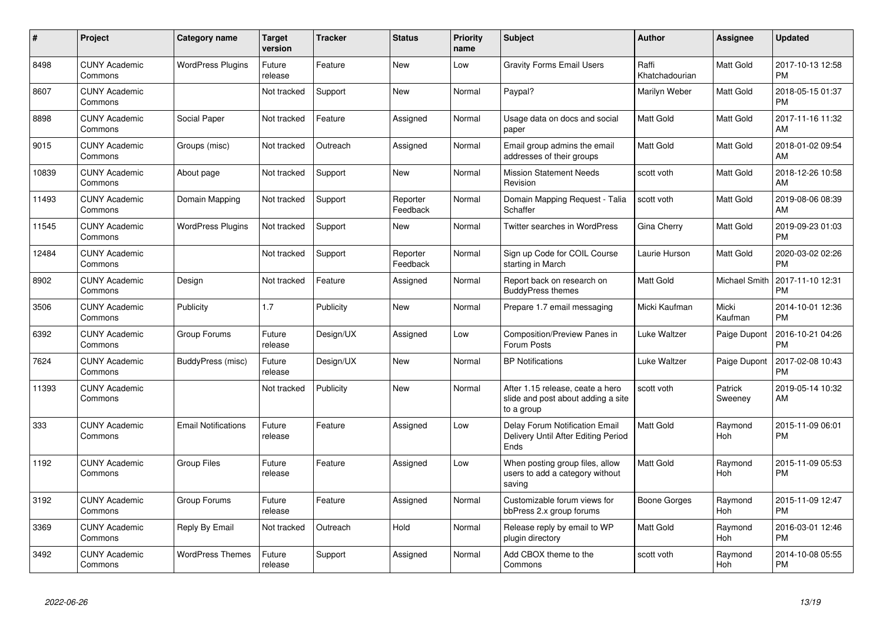| $\#$  | Project                         | <b>Category name</b>       | <b>Target</b><br>version | <b>Tracker</b> | <b>Status</b>        | <b>Priority</b><br>name | <b>Subject</b>                                                                       | <b>Author</b>           | Assignee              | <b>Updated</b>                |
|-------|---------------------------------|----------------------------|--------------------------|----------------|----------------------|-------------------------|--------------------------------------------------------------------------------------|-------------------------|-----------------------|-------------------------------|
| 8498  | <b>CUNY Academic</b><br>Commons | <b>WordPress Plugins</b>   | Future<br>release        | Feature        | <b>New</b>           | Low                     | <b>Gravity Forms Email Users</b>                                                     | Raffi<br>Khatchadourian | Matt Gold             | 2017-10-13 12:58<br><b>PM</b> |
| 8607  | <b>CUNY Academic</b><br>Commons |                            | Not tracked              | Support        | <b>New</b>           | Normal                  | Paypal?                                                                              | Marilyn Weber           | Matt Gold             | 2018-05-15 01:37<br><b>PM</b> |
| 8898  | <b>CUNY Academic</b><br>Commons | Social Paper               | Not tracked              | Feature        | Assigned             | Normal                  | Usage data on docs and social<br>paper                                               | Matt Gold               | Matt Gold             | 2017-11-16 11:32<br>AM        |
| 9015  | <b>CUNY Academic</b><br>Commons | Groups (misc)              | Not tracked              | Outreach       | Assigned             | Normal                  | Email group admins the email<br>addresses of their groups                            | Matt Gold               | Matt Gold             | 2018-01-02 09:54<br>AM        |
| 10839 | <b>CUNY Academic</b><br>Commons | About page                 | Not tracked              | Support        | New                  | Normal                  | <b>Mission Statement Needs</b><br>Revision                                           | scott voth              | Matt Gold             | 2018-12-26 10:58<br>AM        |
| 11493 | <b>CUNY Academic</b><br>Commons | Domain Mapping             | Not tracked              | Support        | Reporter<br>Feedback | Normal                  | Domain Mapping Request - Talia<br>Schaffer                                           | scott voth              | <b>Matt Gold</b>      | 2019-08-06 08:39<br>AM        |
| 11545 | <b>CUNY Academic</b><br>Commons | <b>WordPress Plugins</b>   | Not tracked              | Support        | <b>New</b>           | Normal                  | <b>Twitter searches in WordPress</b>                                                 | Gina Cherry             | Matt Gold             | 2019-09-23 01:03<br><b>PM</b> |
| 12484 | <b>CUNY Academic</b><br>Commons |                            | Not tracked              | Support        | Reporter<br>Feedback | Normal                  | Sign up Code for COIL Course<br>starting in March                                    | Laurie Hurson           | <b>Matt Gold</b>      | 2020-03-02 02:26<br><b>PM</b> |
| 8902  | <b>CUNY Academic</b><br>Commons | Design                     | Not tracked              | Feature        | Assigned             | Normal                  | Report back on research on<br><b>BuddyPress themes</b>                               | <b>Matt Gold</b>        | Michael Smith         | 2017-11-10 12:31<br><b>PM</b> |
| 3506  | <b>CUNY Academic</b><br>Commons | Publicity                  | 1.7                      | Publicity      | New                  | Normal                  | Prepare 1.7 email messaging                                                          | Micki Kaufman           | Micki<br>Kaufman      | 2014-10-01 12:36<br><b>PM</b> |
| 6392  | <b>CUNY Academic</b><br>Commons | Group Forums               | Future<br>release        | Design/UX      | Assigned             | Low                     | Composition/Preview Panes in<br>Forum Posts                                          | Luke Waltzer            | Paige Dupont          | 2016-10-21 04:26<br><b>PM</b> |
| 7624  | <b>CUNY Academic</b><br>Commons | BuddyPress (misc)          | Future<br>release        | Design/UX      | <b>New</b>           | Normal                  | <b>BP Notifications</b>                                                              | Luke Waltzer            | Paige Dupont          | 2017-02-08 10:43<br><b>PM</b> |
| 11393 | <b>CUNY Academic</b><br>Commons |                            | Not tracked              | Publicity      | <b>New</b>           | Normal                  | After 1.15 release, ceate a hero<br>slide and post about adding a site<br>to a group | scott voth              | Patrick<br>Sweeney    | 2019-05-14 10:32<br>AM        |
| 333   | <b>CUNY Academic</b><br>Commons | <b>Email Notifications</b> | Future<br>release        | Feature        | Assigned             | Low                     | Delay Forum Notification Email<br>Delivery Until After Editing Period<br>Ends        | <b>Matt Gold</b>        | Raymond<br>Hoh        | 2015-11-09 06:01<br><b>PM</b> |
| 1192  | <b>CUNY Academic</b><br>Commons | <b>Group Files</b>         | Future<br>release        | Feature        | Assigned             | Low                     | When posting group files, allow<br>users to add a category without<br>saving         | <b>Matt Gold</b>        | Raymond<br><b>Hoh</b> | 2015-11-09 05:53<br><b>PM</b> |
| 3192  | <b>CUNY Academic</b><br>Commons | Group Forums               | Future<br>release        | Feature        | Assigned             | Normal                  | Customizable forum views for<br>bbPress 2.x group forums                             | Boone Gorges            | Raymond<br>Hoh        | 2015-11-09 12:47<br><b>PM</b> |
| 3369  | <b>CUNY Academic</b><br>Commons | Reply By Email             | Not tracked              | Outreach       | Hold                 | Normal                  | Release reply by email to WP<br>plugin directory                                     | <b>Matt Gold</b>        | Raymond<br>Hoh        | 2016-03-01 12:46<br><b>PM</b> |
| 3492  | <b>CUNY Academic</b><br>Commons | <b>WordPress Themes</b>    | Future<br>release        | Support        | Assigned             | Normal                  | Add CBOX theme to the<br>Commons                                                     | scott voth              | Raymond<br>Hoh        | 2014-10-08 05:55<br>PM        |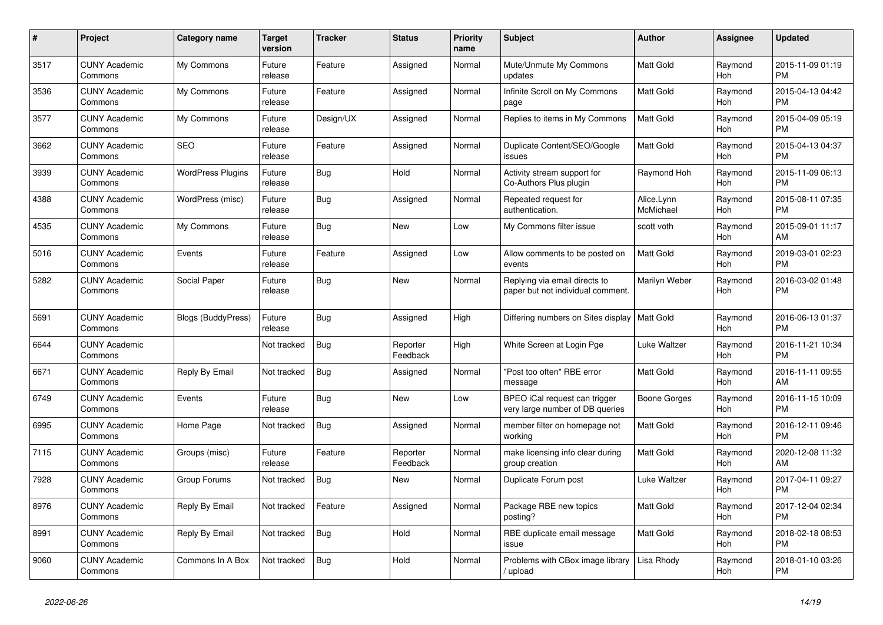| #    | <b>Project</b>                  | <b>Category name</b>      | Target<br>version | Tracker    | <b>Status</b>        | <b>Priority</b><br>name | <b>Subject</b>                                                     | <b>Author</b>           | <b>Assignee</b>       | <b>Updated</b>                |
|------|---------------------------------|---------------------------|-------------------|------------|----------------------|-------------------------|--------------------------------------------------------------------|-------------------------|-----------------------|-------------------------------|
| 3517 | <b>CUNY Academic</b><br>Commons | My Commons                | Future<br>release | Feature    | Assigned             | Normal                  | Mute/Unmute My Commons<br>updates                                  | <b>Matt Gold</b>        | Raymond<br><b>Hoh</b> | 2015-11-09 01:19<br><b>PM</b> |
| 3536 | <b>CUNY Academic</b><br>Commons | My Commons                | Future<br>release | Feature    | Assigned             | Normal                  | Infinite Scroll on My Commons<br>page                              | <b>Matt Gold</b>        | Raymond<br>Hoh        | 2015-04-13 04:42<br><b>PM</b> |
| 3577 | <b>CUNY Academic</b><br>Commons | My Commons                | Future<br>release | Design/UX  | Assigned             | Normal                  | Replies to items in My Commons                                     | Matt Gold               | Raymond<br><b>Hoh</b> | 2015-04-09 05:19<br><b>PM</b> |
| 3662 | <b>CUNY Academic</b><br>Commons | <b>SEO</b>                | Future<br>release | Feature    | Assigned             | Normal                  | Duplicate Content/SEO/Google<br>issues                             | <b>Matt Gold</b>        | Raymond<br><b>Hoh</b> | 2015-04-13 04:37<br><b>PM</b> |
| 3939 | <b>CUNY Academic</b><br>Commons | <b>WordPress Plugins</b>  | Future<br>release | Bug        | Hold                 | Normal                  | Activity stream support for<br>Co-Authors Plus plugin              | Raymond Hoh             | Raymond<br>Hoh        | 2015-11-09 06:13<br><b>PM</b> |
| 4388 | <b>CUNY Academic</b><br>Commons | WordPress (misc)          | Future<br>release | Bug        | Assigned             | Normal                  | Repeated request for<br>authentication.                            | Alice.Lynn<br>McMichael | Raymond<br>Hoh        | 2015-08-11 07:35<br><b>PM</b> |
| 4535 | <b>CUNY Academic</b><br>Commons | My Commons                | Future<br>release | <b>Bug</b> | <b>New</b>           | Low                     | My Commons filter issue                                            | scott voth              | Raymond<br><b>Hoh</b> | 2015-09-01 11:17<br>AM        |
| 5016 | <b>CUNY Academic</b><br>Commons | Events                    | Future<br>release | Feature    | Assigned             | Low                     | Allow comments to be posted on<br>events                           | <b>Matt Gold</b>        | Raymond<br>Hoh        | 2019-03-01 02:23<br><b>PM</b> |
| 5282 | <b>CUNY Academic</b><br>Commons | Social Paper              | Future<br>release | Bug        | <b>New</b>           | Normal                  | Replying via email directs to<br>paper but not individual comment. | Marilyn Weber           | Raymond<br>Hoh        | 2016-03-02 01:48<br><b>PM</b> |
| 5691 | <b>CUNY Academic</b><br>Commons | <b>Blogs (BuddyPress)</b> | Future<br>release | <b>Bug</b> | Assigned             | High                    | Differing numbers on Sites display                                 | <b>Matt Gold</b>        | Raymond<br>Hoh        | 2016-06-13 01:37<br><b>PM</b> |
| 6644 | <b>CUNY Academic</b><br>Commons |                           | Not tracked       | Bug        | Reporter<br>Feedback | High                    | White Screen at Login Pge                                          | Luke Waltzer            | Raymond<br>Hoh        | 2016-11-21 10:34<br><b>PM</b> |
| 6671 | <b>CUNY Academic</b><br>Commons | Reply By Email            | Not tracked       | <b>Bug</b> | Assigned             | Normal                  | "Post too often" RBE error<br>message                              | Matt Gold               | Raymond<br><b>Hoh</b> | 2016-11-11 09:55<br>AM        |
| 6749 | <b>CUNY Academic</b><br>Commons | Events                    | Future<br>release | Bug        | <b>New</b>           | Low                     | BPEO iCal request can trigger<br>very large number of DB queries   | Boone Gorges            | Raymond<br><b>Hoh</b> | 2016-11-15 10:09<br><b>PM</b> |
| 6995 | <b>CUNY Academic</b><br>Commons | Home Page                 | Not tracked       | Bug        | Assigned             | Normal                  | member filter on homepage not<br>working                           | Matt Gold               | Raymond<br>Hoh        | 2016-12-11 09:46<br><b>PM</b> |
| 7115 | <b>CUNY Academic</b><br>Commons | Groups (misc)             | Future<br>release | Feature    | Reporter<br>Feedback | Normal                  | make licensing info clear during<br>group creation                 | <b>Matt Gold</b>        | Raymond<br><b>Hoh</b> | 2020-12-08 11:32<br>AM        |
| 7928 | <b>CUNY Academic</b><br>Commons | Group Forums              | Not tracked       | <b>Bug</b> | <b>New</b>           | Normal                  | Duplicate Forum post                                               | Luke Waltzer            | Raymond<br>Hoh        | 2017-04-11 09:27<br><b>PM</b> |
| 8976 | <b>CUNY Academic</b><br>Commons | Reply By Email            | Not tracked       | Feature    | Assigned             | Normal                  | Package RBE new topics<br>posting?                                 | Matt Gold               | Raymond<br>Hoh        | 2017-12-04 02:34<br><b>PM</b> |
| 8991 | <b>CUNY Academic</b><br>Commons | Reply By Email            | Not tracked       | <b>Bug</b> | Hold                 | Normal                  | RBE duplicate email message<br>issue                               | <b>Matt Gold</b>        | Raymond<br>Hoh        | 2018-02-18 08:53<br><b>PM</b> |
| 9060 | <b>CUNY Academic</b><br>Commons | Commons In A Box          | Not tracked       | <b>Bug</b> | Hold                 | Normal                  | Problems with CBox image library<br>upload                         | Lisa Rhody              | Raymond<br>Hoh        | 2018-01-10 03:26<br><b>PM</b> |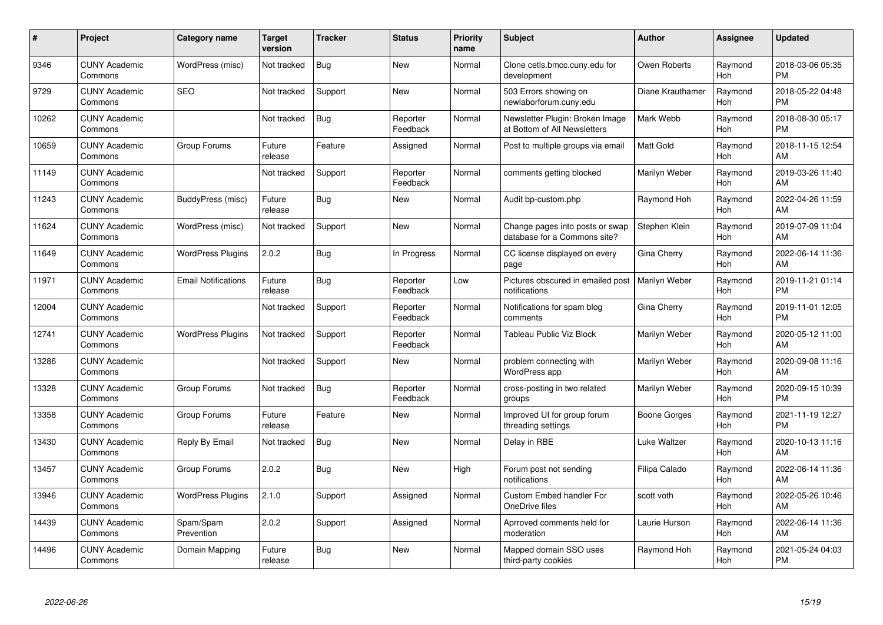| #     | Project                         | <b>Category name</b>       | <b>Target</b><br>version | <b>Tracker</b> | <b>Status</b>        | <b>Priority</b><br>name | <b>Subject</b>                                                  | <b>Author</b>       | <b>Assignee</b>       | <b>Updated</b>                |
|-------|---------------------------------|----------------------------|--------------------------|----------------|----------------------|-------------------------|-----------------------------------------------------------------|---------------------|-----------------------|-------------------------------|
| 9346  | <b>CUNY Academic</b><br>Commons | WordPress (misc)           | Not tracked              | <b>Bug</b>     | <b>New</b>           | Normal                  | Clone cetls.bmcc.cuny.edu for<br>development                    | Owen Roberts        | Raymond<br><b>Hoh</b> | 2018-03-06 05:35<br><b>PM</b> |
| 9729  | <b>CUNY Academic</b><br>Commons | <b>SEO</b>                 | Not tracked              | Support        | <b>New</b>           | Normal                  | 503 Errors showing on<br>newlaborforum.cuny.edu                 | Diane Krauthamer    | Raymond<br><b>Hoh</b> | 2018-05-22 04:48<br><b>PM</b> |
| 10262 | <b>CUNY Academic</b><br>Commons |                            | Not tracked              | <b>Bug</b>     | Reporter<br>Feedback | Normal                  | Newsletter Plugin: Broken Image<br>at Bottom of All Newsletters | Mark Webb           | Raymond<br><b>Hoh</b> | 2018-08-30 05:17<br><b>PM</b> |
| 10659 | <b>CUNY Academic</b><br>Commons | Group Forums               | Future<br>release        | Feature        | Assigned             | Normal                  | Post to multiple groups via email                               | Matt Gold           | Raymond<br><b>Hoh</b> | 2018-11-15 12:54<br>AM        |
| 11149 | <b>CUNY Academic</b><br>Commons |                            | Not tracked              | Support        | Reporter<br>Feedback | Normal                  | comments getting blocked                                        | Marilyn Weber       | Raymond<br><b>Hoh</b> | 2019-03-26 11:40<br>AM        |
| 11243 | <b>CUNY Academic</b><br>Commons | BuddyPress (misc)          | Future<br>release        | Bug            | New                  | Normal                  | Audit bp-custom.php                                             | Raymond Hoh         | Raymond<br>Hoh        | 2022-04-26 11:59<br>AM        |
| 11624 | <b>CUNY Academic</b><br>Commons | WordPress (misc)           | Not tracked              | Support        | <b>New</b>           | Normal                  | Change pages into posts or swap<br>database for a Commons site? | Stephen Klein       | Raymond<br>Hoh        | 2019-07-09 11:04<br>AM        |
| 11649 | <b>CUNY Academic</b><br>Commons | <b>WordPress Plugins</b>   | 2.0.2                    | Bug            | In Progress          | Normal                  | CC license displayed on every<br>page                           | Gina Cherry         | Raymond<br>Hoh        | 2022-06-14 11:36<br>AM        |
| 11971 | <b>CUNY Academic</b><br>Commons | <b>Email Notifications</b> | Future<br>release        | <b>Bug</b>     | Reporter<br>Feedback | Low                     | Pictures obscured in emailed post<br>notifications              | Marilyn Weber       | Raymond<br><b>Hoh</b> | 2019-11-21 01:14<br><b>PM</b> |
| 12004 | <b>CUNY Academic</b><br>Commons |                            | Not tracked              | Support        | Reporter<br>Feedback | Normal                  | Notifications for spam blog<br>comments                         | Gina Cherry         | Raymond<br>Hoh        | 2019-11-01 12:05<br><b>PM</b> |
| 12741 | <b>CUNY Academic</b><br>Commons | <b>WordPress Plugins</b>   | Not tracked              | Support        | Reporter<br>Feedback | Normal                  | Tableau Public Viz Block                                        | Marilyn Weber       | Raymond<br><b>Hoh</b> | 2020-05-12 11:00<br>AM        |
| 13286 | <b>CUNY Academic</b><br>Commons |                            | Not tracked              | Support        | <b>New</b>           | Normal                  | problem connecting with<br>WordPress app                        | Marilyn Weber       | Raymond<br>Hoh        | 2020-09-08 11:16<br>AM        |
| 13328 | <b>CUNY Academic</b><br>Commons | Group Forums               | Not tracked              | <b>Bug</b>     | Reporter<br>Feedback | Normal                  | cross-posting in two related<br>groups                          | Marilyn Weber       | Raymond<br>Hoh        | 2020-09-15 10:39<br><b>PM</b> |
| 13358 | <b>CUNY Academic</b><br>Commons | Group Forums               | Future<br>release        | Feature        | <b>New</b>           | Normal                  | Improved UI for group forum<br>threading settings               | <b>Boone Gorges</b> | Raymond<br><b>Hoh</b> | 2021-11-19 12:27<br><b>PM</b> |
| 13430 | <b>CUNY Academic</b><br>Commons | Reply By Email             | Not tracked              | <b>Bug</b>     | New                  | Normal                  | Delay in RBE                                                    | Luke Waltzer        | Raymond<br>Hoh        | 2020-10-13 11:16<br>AM        |
| 13457 | <b>CUNY Academic</b><br>Commons | Group Forums               | 2.0.2                    | <b>Bug</b>     | <b>New</b>           | High                    | Forum post not sending<br>notifications                         | Filipa Calado       | Raymond<br>Hoh        | 2022-06-14 11:36<br>AM        |
| 13946 | <b>CUNY Academic</b><br>Commons | <b>WordPress Plugins</b>   | 2.1.0                    | Support        | Assigned             | Normal                  | <b>Custom Embed handler For</b><br>OneDrive files               | scott voth          | Raymond<br><b>Hoh</b> | 2022-05-26 10:46<br>AM        |
| 14439 | <b>CUNY Academic</b><br>Commons | Spam/Spam<br>Prevention    | 2.0.2                    | Support        | Assigned             | Normal                  | Aprroved comments held for<br>moderation                        | Laurie Hurson       | Raymond<br>Hoh        | 2022-06-14 11:36<br>AM        |
| 14496 | <b>CUNY Academic</b><br>Commons | Domain Mapping             | Future<br>release        | <b>Bug</b>     | New                  | Normal                  | Mapped domain SSO uses<br>third-party cookies                   | Raymond Hoh         | Raymond<br>Hoh        | 2021-05-24 04:03<br>PM        |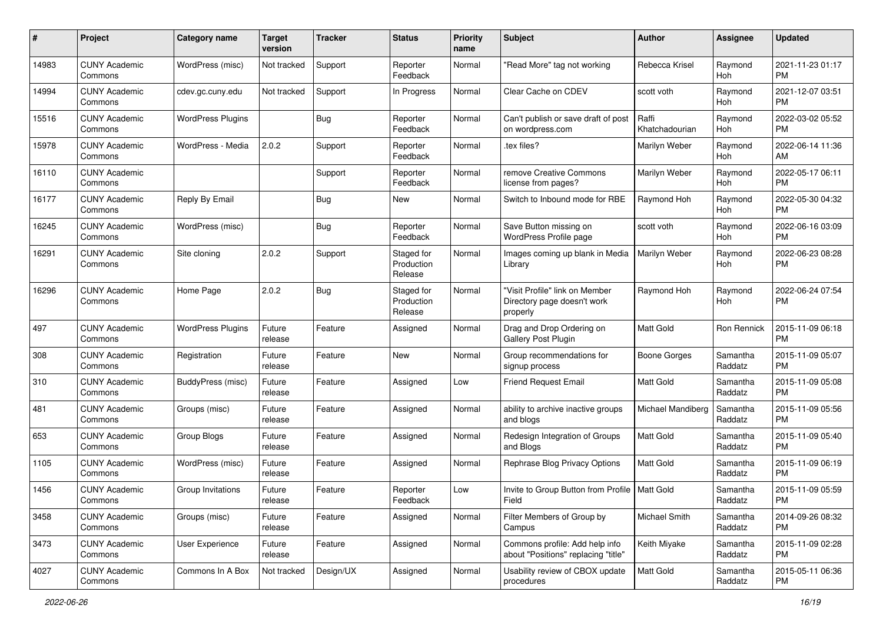| #     | Project                         | <b>Category name</b>     | <b>Target</b><br>version | <b>Tracker</b> | <b>Status</b>                       | <b>Priority</b><br>name | Subject                                                                   | <b>Author</b>           | <b>Assignee</b>     | <b>Updated</b>                |
|-------|---------------------------------|--------------------------|--------------------------|----------------|-------------------------------------|-------------------------|---------------------------------------------------------------------------|-------------------------|---------------------|-------------------------------|
| 14983 | <b>CUNY Academic</b><br>Commons | WordPress (misc)         | Not tracked              | Support        | Reporter<br>Feedback                | Normal                  | 'Read More" tag not working                                               | Rebecca Krisel          | Raymond<br>Hoh      | 2021-11-23 01:17<br><b>PM</b> |
| 14994 | <b>CUNY Academic</b><br>Commons | cdev.gc.cuny.edu         | Not tracked              | Support        | In Progress                         | Normal                  | Clear Cache on CDEV                                                       | scott voth              | Raymond<br>Hoh      | 2021-12-07 03:51<br><b>PM</b> |
| 15516 | <b>CUNY Academic</b><br>Commons | <b>WordPress Plugins</b> |                          | <b>Bug</b>     | Reporter<br>Feedback                | Normal                  | Can't publish or save draft of post<br>on wordpress.com                   | Raffi<br>Khatchadourian | Raymond<br>Hoh      | 2022-03-02 05:52<br><b>PM</b> |
| 15978 | <b>CUNY Academic</b><br>Commons | WordPress - Media        | 2.0.2                    | Support        | Reporter<br>Feedback                | Normal                  | tex files?                                                                | Marilyn Weber           | Raymond<br>Hoh      | 2022-06-14 11:36<br>AM        |
| 16110 | <b>CUNY Academic</b><br>Commons |                          |                          | Support        | Reporter<br>Feedback                | Normal                  | remove Creative Commons<br>license from pages?                            | Marilyn Weber           | Raymond<br>Hoh      | 2022-05-17 06:11<br><b>PM</b> |
| 16177 | <b>CUNY Academic</b><br>Commons | Reply By Email           |                          | <b>Bug</b>     | New                                 | Normal                  | Switch to Inbound mode for RBE                                            | Raymond Hoh             | Raymond<br>Hoh      | 2022-05-30 04:32<br><b>PM</b> |
| 16245 | <b>CUNY Academic</b><br>Commons | WordPress (misc)         |                          | <b>Bug</b>     | Reporter<br>Feedback                | Normal                  | Save Button missing on<br>WordPress Profile page                          | scott voth              | Raymond<br>Hoh      | 2022-06-16 03:09<br><b>PM</b> |
| 16291 | <b>CUNY Academic</b><br>Commons | Site cloning             | 2.0.2                    | Support        | Staged for<br>Production<br>Release | Normal                  | Images coming up blank in Media<br>Library                                | Marilyn Weber           | Raymond<br>Hoh      | 2022-06-23 08:28<br><b>PM</b> |
| 16296 | <b>CUNY Academic</b><br>Commons | Home Page                | 2.0.2                    | Bug            | Staged for<br>Production<br>Release | Normal                  | "Visit Profile" link on Member<br>Directory page doesn't work<br>properly | Raymond Hoh             | Raymond<br>Hoh      | 2022-06-24 07:54<br><b>PM</b> |
| 497   | <b>CUNY Academic</b><br>Commons | <b>WordPress Plugins</b> | Future<br>release        | Feature        | Assigned                            | Normal                  | Drag and Drop Ordering on<br>Gallery Post Plugin                          | Matt Gold               | Ron Rennick         | 2015-11-09 06:18<br><b>PM</b> |
| 308   | <b>CUNY Academic</b><br>Commons | Registration             | Future<br>release        | Feature        | New                                 | Normal                  | Group recommendations for<br>signup process                               | <b>Boone Gorges</b>     | Samantha<br>Raddatz | 2015-11-09 05:07<br><b>PM</b> |
| 310   | <b>CUNY Academic</b><br>Commons | BuddyPress (misc)        | Future<br>release        | Feature        | Assigned                            | Low                     | <b>Friend Request Email</b>                                               | <b>Matt Gold</b>        | Samantha<br>Raddatz | 2015-11-09 05:08<br><b>PM</b> |
| 481   | <b>CUNY Academic</b><br>Commons | Groups (misc)            | Future<br>release        | Feature        | Assigned                            | Normal                  | ability to archive inactive groups<br>and blogs                           | Michael Mandiberg       | Samantha<br>Raddatz | 2015-11-09 05:56<br><b>PM</b> |
| 653   | <b>CUNY Academic</b><br>Commons | Group Blogs              | Future<br>release        | Feature        | Assigned                            | Normal                  | Redesign Integration of Groups<br>and Blogs                               | <b>Matt Gold</b>        | Samantha<br>Raddatz | 2015-11-09 05:40<br><b>PM</b> |
| 1105  | <b>CUNY Academic</b><br>Commons | WordPress (misc)         | Future<br>release        | Feature        | Assigned                            | Normal                  | Rephrase Blog Privacy Options                                             | <b>Matt Gold</b>        | Samantha<br>Raddatz | 2015-11-09 06:19<br><b>PM</b> |
| 1456  | <b>CUNY Academic</b><br>Commons | Group Invitations        | Future<br>release        | Feature        | Reporter<br>Feedback                | Low                     | Invite to Group Button from Profile   Matt Gold<br>Field                  |                         | Samantha<br>Raddatz | 2015-11-09 05:59<br>PM        |
| 3458  | <b>CUNY Academic</b><br>Commons | Groups (misc)            | Future<br>release        | Feature        | Assigned                            | Normal                  | Filter Members of Group by<br>Campus                                      | Michael Smith           | Samantha<br>Raddatz | 2014-09-26 08:32<br><b>PM</b> |
| 3473  | <b>CUNY Academic</b><br>Commons | User Experience          | Future<br>release        | Feature        | Assigned                            | Normal                  | Commons profile: Add help info<br>about "Positions" replacing "title"     | Keith Miyake            | Samantha<br>Raddatz | 2015-11-09 02:28<br>PM        |
| 4027  | <b>CUNY Academic</b><br>Commons | Commons In A Box         | Not tracked              | Design/UX      | Assigned                            | Normal                  | Usability review of CBOX update<br>procedures                             | Matt Gold               | Samantha<br>Raddatz | 2015-05-11 06:36<br><b>PM</b> |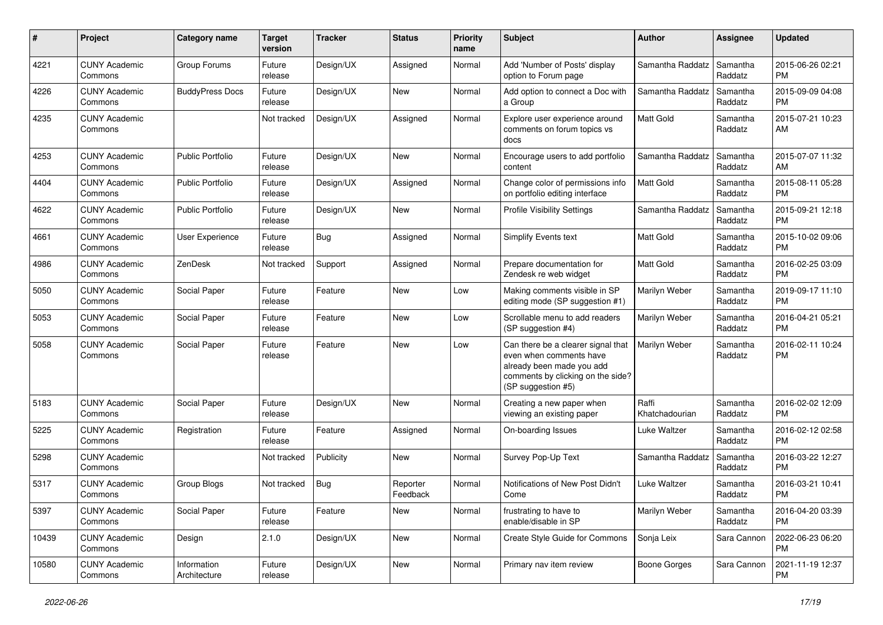| #     | Project                         | <b>Category name</b>        | Target<br>version | <b>Tracker</b> | <b>Status</b>        | <b>Priority</b><br>name | <b>Subject</b>                                                                                                                                        | Author                  | Assignee            | <b>Updated</b>                |
|-------|---------------------------------|-----------------------------|-------------------|----------------|----------------------|-------------------------|-------------------------------------------------------------------------------------------------------------------------------------------------------|-------------------------|---------------------|-------------------------------|
| 4221  | <b>CUNY Academic</b><br>Commons | Group Forums                | Future<br>release | Design/UX      | Assigned             | Normal                  | Add 'Number of Posts' display<br>option to Forum page                                                                                                 | Samantha Raddatz        | Samantha<br>Raddatz | 2015-06-26 02:21<br><b>PM</b> |
| 4226  | <b>CUNY Academic</b><br>Commons | <b>BuddyPress Docs</b>      | Future<br>release | Design/UX      | New                  | Normal                  | Add option to connect a Doc with<br>a Group                                                                                                           | Samantha Raddatz        | Samantha<br>Raddatz | 2015-09-09 04:08<br><b>PM</b> |
| 4235  | <b>CUNY Academic</b><br>Commons |                             | Not tracked       | Design/UX      | Assigned             | Normal                  | Explore user experience around<br>comments on forum topics vs<br>docs                                                                                 | Matt Gold               | Samantha<br>Raddatz | 2015-07-21 10:23<br>AM        |
| 4253  | <b>CUNY Academic</b><br>Commons | <b>Public Portfolio</b>     | Future<br>release | Design/UX      | New                  | Normal                  | Encourage users to add portfolio<br>content                                                                                                           | Samantha Raddatz        | Samantha<br>Raddatz | 2015-07-07 11:32<br>AM        |
| 4404  | <b>CUNY Academic</b><br>Commons | <b>Public Portfolio</b>     | Future<br>release | Design/UX      | Assigned             | Normal                  | Change color of permissions info<br>on portfolio editing interface                                                                                    | Matt Gold               | Samantha<br>Raddatz | 2015-08-11 05:28<br><b>PM</b> |
| 4622  | <b>CUNY Academic</b><br>Commons | <b>Public Portfolio</b>     | Future<br>release | Design/UX      | <b>New</b>           | Normal                  | <b>Profile Visibility Settings</b>                                                                                                                    | Samantha Raddatz        | Samantha<br>Raddatz | 2015-09-21 12:18<br><b>PM</b> |
| 4661  | <b>CUNY Academic</b><br>Commons | User Experience             | Future<br>release | <b>Bug</b>     | Assigned             | Normal                  | Simplify Events text                                                                                                                                  | <b>Matt Gold</b>        | Samantha<br>Raddatz | 2015-10-02 09:06<br><b>PM</b> |
| 4986  | <b>CUNY Academic</b><br>Commons | ZenDesk                     | Not tracked       | Support        | Assigned             | Normal                  | Prepare documentation for<br>Zendesk re web widget                                                                                                    | Matt Gold               | Samantha<br>Raddatz | 2016-02-25 03:09<br><b>PM</b> |
| 5050  | <b>CUNY Academic</b><br>Commons | Social Paper                | Future<br>release | Feature        | <b>New</b>           | Low                     | Making comments visible in SP<br>editing mode (SP suggestion #1)                                                                                      | Marilyn Weber           | Samantha<br>Raddatz | 2019-09-17 11:10<br><b>PM</b> |
| 5053  | <b>CUNY Academic</b><br>Commons | Social Paper                | Future<br>release | Feature        | New                  | Low                     | Scrollable menu to add readers<br>(SP suggestion #4)                                                                                                  | Marilyn Weber           | Samantha<br>Raddatz | 2016-04-21 05:21<br><b>PM</b> |
| 5058  | <b>CUNY Academic</b><br>Commons | Social Paper                | Future<br>release | Feature        | <b>New</b>           | Low                     | Can there be a clearer signal that<br>even when comments have<br>already been made you add<br>comments by clicking on the side?<br>(SP suggestion #5) | Marilyn Weber           | Samantha<br>Raddatz | 2016-02-11 10:24<br><b>PM</b> |
| 5183  | <b>CUNY Academic</b><br>Commons | Social Paper                | Future<br>release | Design/UX      | <b>New</b>           | Normal                  | Creating a new paper when<br>viewing an existing paper                                                                                                | Raffi<br>Khatchadourian | Samantha<br>Raddatz | 2016-02-02 12:09<br><b>PM</b> |
| 5225  | <b>CUNY Academic</b><br>Commons | Registration                | Future<br>release | Feature        | Assigned             | Normal                  | On-boarding Issues                                                                                                                                    | Luke Waltzer            | Samantha<br>Raddatz | 2016-02-12 02:58<br><b>PM</b> |
| 5298  | <b>CUNY Academic</b><br>Commons |                             | Not tracked       | Publicity      | <b>New</b>           | Normal                  | Survey Pop-Up Text                                                                                                                                    | Samantha Raddatz        | Samantha<br>Raddatz | 2016-03-22 12:27<br><b>PM</b> |
| 5317  | <b>CUNY Academic</b><br>Commons | <b>Group Blogs</b>          | Not tracked       | <b>Bug</b>     | Reporter<br>Feedback | Normal                  | Notifications of New Post Didn't<br>Come                                                                                                              | Luke Waltzer            | Samantha<br>Raddatz | 2016-03-21 10:41<br><b>PM</b> |
| 5397  | <b>CUNY Academic</b><br>Commons | Social Paper                | Future<br>release | Feature        | New                  | Normal                  | frustrating to have to<br>enable/disable in SP                                                                                                        | Marilyn Weber           | Samantha<br>Raddatz | 2016-04-20 03:39<br><b>PM</b> |
| 10439 | <b>CUNY Academic</b><br>Commons | Design                      | 2.1.0             | Design/UX      | New                  | Normal                  | Create Style Guide for Commons                                                                                                                        | Sonja Leix              | Sara Cannon         | 2022-06-23 06:20<br>PM        |
| 10580 | <b>CUNY Academic</b><br>Commons | Information<br>Architecture | Future<br>release | Design/UX      | New                  | Normal                  | Primary nav item review                                                                                                                               | <b>Boone Gorges</b>     | Sara Cannon         | 2021-11-19 12:37<br>PM        |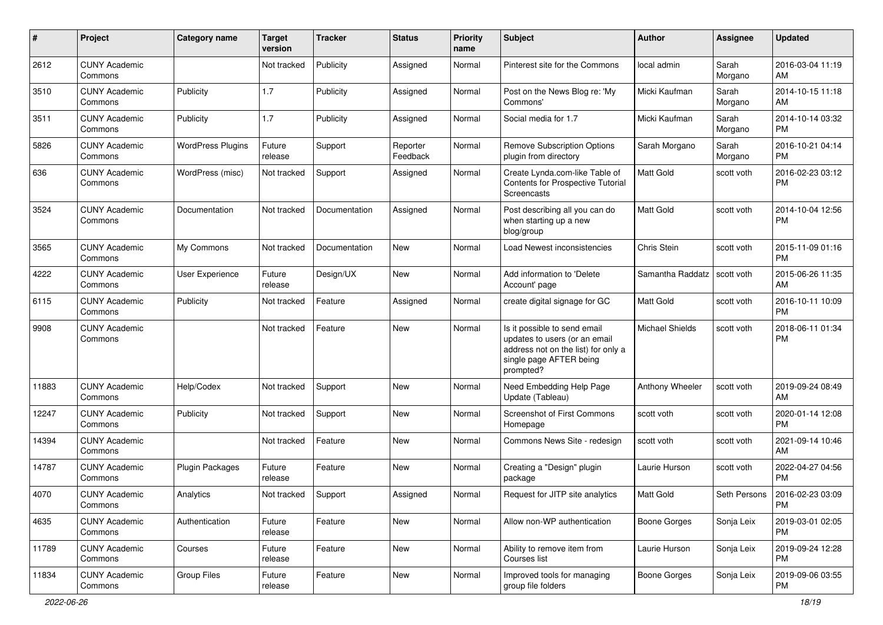| $\#$  | Project                         | <b>Category name</b>     | <b>Target</b><br>version | <b>Tracker</b> | <b>Status</b>        | <b>Priority</b><br>name | <b>Subject</b>                                                                                                                               | <b>Author</b>          | <b>Assignee</b>  | <b>Updated</b>                |
|-------|---------------------------------|--------------------------|--------------------------|----------------|----------------------|-------------------------|----------------------------------------------------------------------------------------------------------------------------------------------|------------------------|------------------|-------------------------------|
| 2612  | <b>CUNY Academic</b><br>Commons |                          | Not tracked              | Publicity      | Assigned             | Normal                  | Pinterest site for the Commons                                                                                                               | local admin            | Sarah<br>Morgano | 2016-03-04 11:19<br>AM        |
| 3510  | <b>CUNY Academic</b><br>Commons | Publicity                | 1.7                      | Publicity      | Assigned             | Normal                  | Post on the News Blog re: 'My<br>Commons'                                                                                                    | Micki Kaufman          | Sarah<br>Morgano | 2014-10-15 11:18<br>AM        |
| 3511  | <b>CUNY Academic</b><br>Commons | Publicity                | 1.7                      | Publicity      | Assigned             | Normal                  | Social media for 1.7                                                                                                                         | Micki Kaufman          | Sarah<br>Morgano | 2014-10-14 03:32<br><b>PM</b> |
| 5826  | <b>CUNY Academic</b><br>Commons | <b>WordPress Plugins</b> | Future<br>release        | Support        | Reporter<br>Feedback | Normal                  | <b>Remove Subscription Options</b><br>plugin from directory                                                                                  | Sarah Morgano          | Sarah<br>Morgano | 2016-10-21 04:14<br><b>PM</b> |
| 636   | <b>CUNY Academic</b><br>Commons | WordPress (misc)         | Not tracked              | Support        | Assigned             | Normal                  | Create Lynda.com-like Table of<br>Contents for Prospective Tutorial<br>Screencasts                                                           | <b>Matt Gold</b>       | scott voth       | 2016-02-23 03:12<br><b>PM</b> |
| 3524  | <b>CUNY Academic</b><br>Commons | Documentation            | Not tracked              | Documentation  | Assigned             | Normal                  | Post describing all you can do<br>when starting up a new<br>blog/group                                                                       | <b>Matt Gold</b>       | scott voth       | 2014-10-04 12:56<br><b>PM</b> |
| 3565  | <b>CUNY Academic</b><br>Commons | My Commons               | Not tracked              | Documentation  | New                  | Normal                  | Load Newest inconsistencies                                                                                                                  | Chris Stein            | scott voth       | 2015-11-09 01:16<br><b>PM</b> |
| 4222  | <b>CUNY Academic</b><br>Commons | User Experience          | Future<br>release        | Design/UX      | New                  | Normal                  | Add information to 'Delete<br>Account' page                                                                                                  | Samantha Raddatz       | scott voth       | 2015-06-26 11:35<br>AM        |
| 6115  | <b>CUNY Academic</b><br>Commons | Publicity                | Not tracked              | Feature        | Assigned             | Normal                  | create digital signage for GC                                                                                                                | Matt Gold              | scott voth       | 2016-10-11 10:09<br><b>PM</b> |
| 9908  | <b>CUNY Academic</b><br>Commons |                          | Not tracked              | Feature        | <b>New</b>           | Normal                  | Is it possible to send email<br>updates to users (or an email<br>address not on the list) for only a<br>single page AFTER being<br>prompted? | <b>Michael Shields</b> | scott voth       | 2018-06-11 01:34<br><b>PM</b> |
| 11883 | <b>CUNY Academic</b><br>Commons | Help/Codex               | Not tracked              | Support        | New                  | Normal                  | Need Embedding Help Page<br>Update (Tableau)                                                                                                 | <b>Anthony Wheeler</b> | scott voth       | 2019-09-24 08:49<br>AM        |
| 12247 | <b>CUNY Academic</b><br>Commons | Publicity                | Not tracked              | Support        | New                  | Normal                  | Screenshot of First Commons<br>Homepage                                                                                                      | scott voth             | scott voth       | 2020-01-14 12:08<br><b>PM</b> |
| 14394 | <b>CUNY Academic</b><br>Commons |                          | Not tracked              | Feature        | New                  | Normal                  | Commons News Site - redesign                                                                                                                 | scott voth             | scott voth       | 2021-09-14 10:46<br>AM        |
| 14787 | <b>CUNY Academic</b><br>Commons | <b>Plugin Packages</b>   | Future<br>release        | Feature        | New                  | Normal                  | Creating a "Design" plugin<br>package                                                                                                        | Laurie Hurson          | scott voth       | 2022-04-27 04:56<br>PM        |
| 4070  | <b>CUNY Academic</b><br>Commons | Analytics                | Not tracked              | Support        | Assigned             | Normal                  | Request for JITP site analytics                                                                                                              | Matt Gold              | Seth Persons     | 2016-02-23 03:09<br>PM        |
| 4635  | <b>CUNY Academic</b><br>Commons | Authentication           | Future<br>release        | Feature        | New                  | Normal                  | Allow non-WP authentication                                                                                                                  | <b>Boone Gorges</b>    | Sonja Leix       | 2019-03-01 02:05<br>PM        |
| 11789 | <b>CUNY Academic</b><br>Commons | Courses                  | Future<br>release        | Feature        | New                  | Normal                  | Ability to remove item from<br>Courses list                                                                                                  | Laurie Hurson          | Sonja Leix       | 2019-09-24 12:28<br>PM        |
| 11834 | <b>CUNY Academic</b><br>Commons | <b>Group Files</b>       | Future<br>release        | Feature        | New                  | Normal                  | Improved tools for managing<br>group file folders                                                                                            | Boone Gorges           | Sonja Leix       | 2019-09-06 03:55<br>PM        |